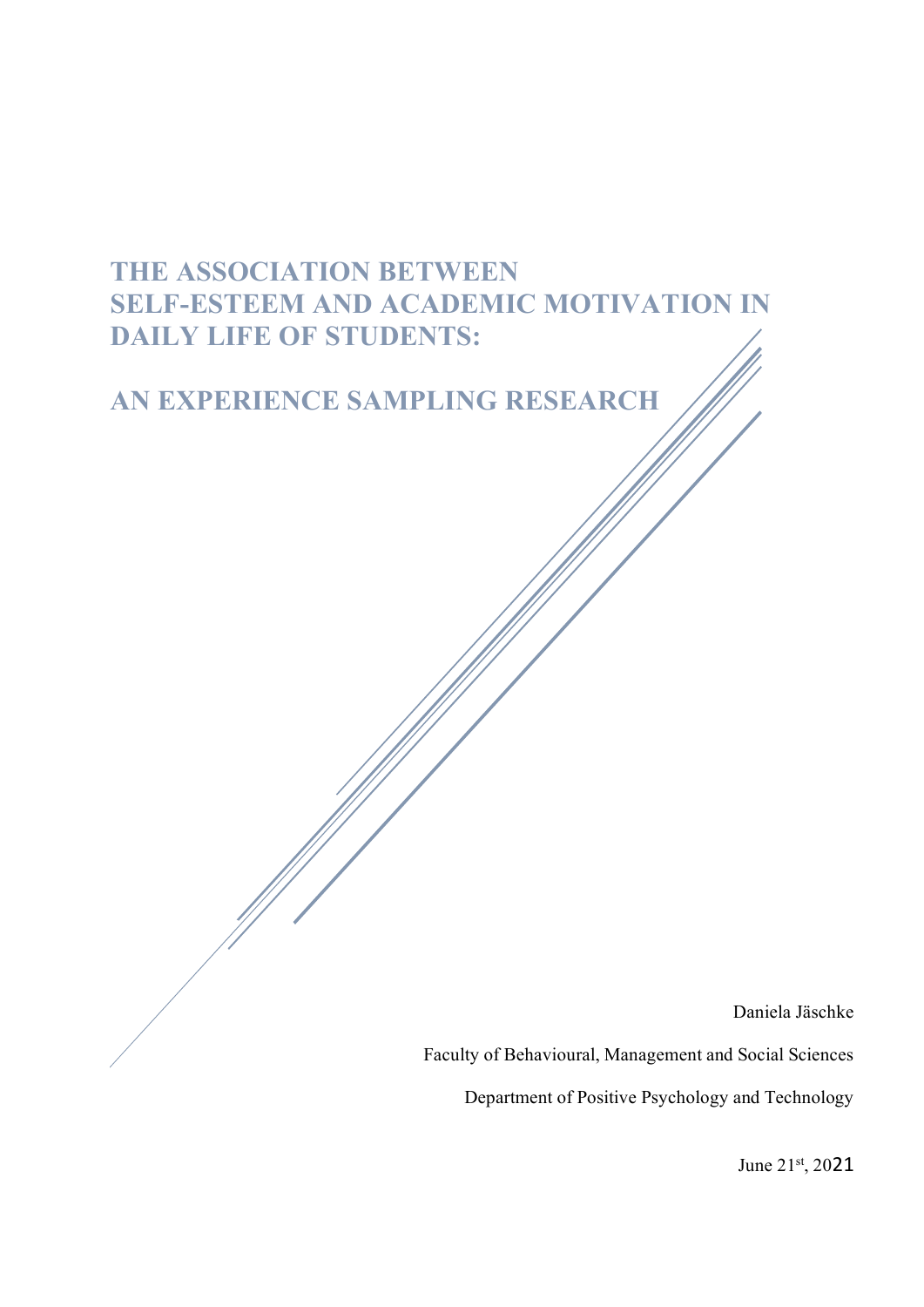# **THE ASSOCIATION BETWEEN SELF-ESTEEM AND ACADEMIC MOTIVATION IN DAILY LIFE OF STUDENTS:**

# **AN EXPERIENCE SAMPLING RESEARCH**

Daniela Jäschke

Faculty of Behavioural, Management and Social Sciences

Department of Positive Psychology and Technology

June 21st, 2021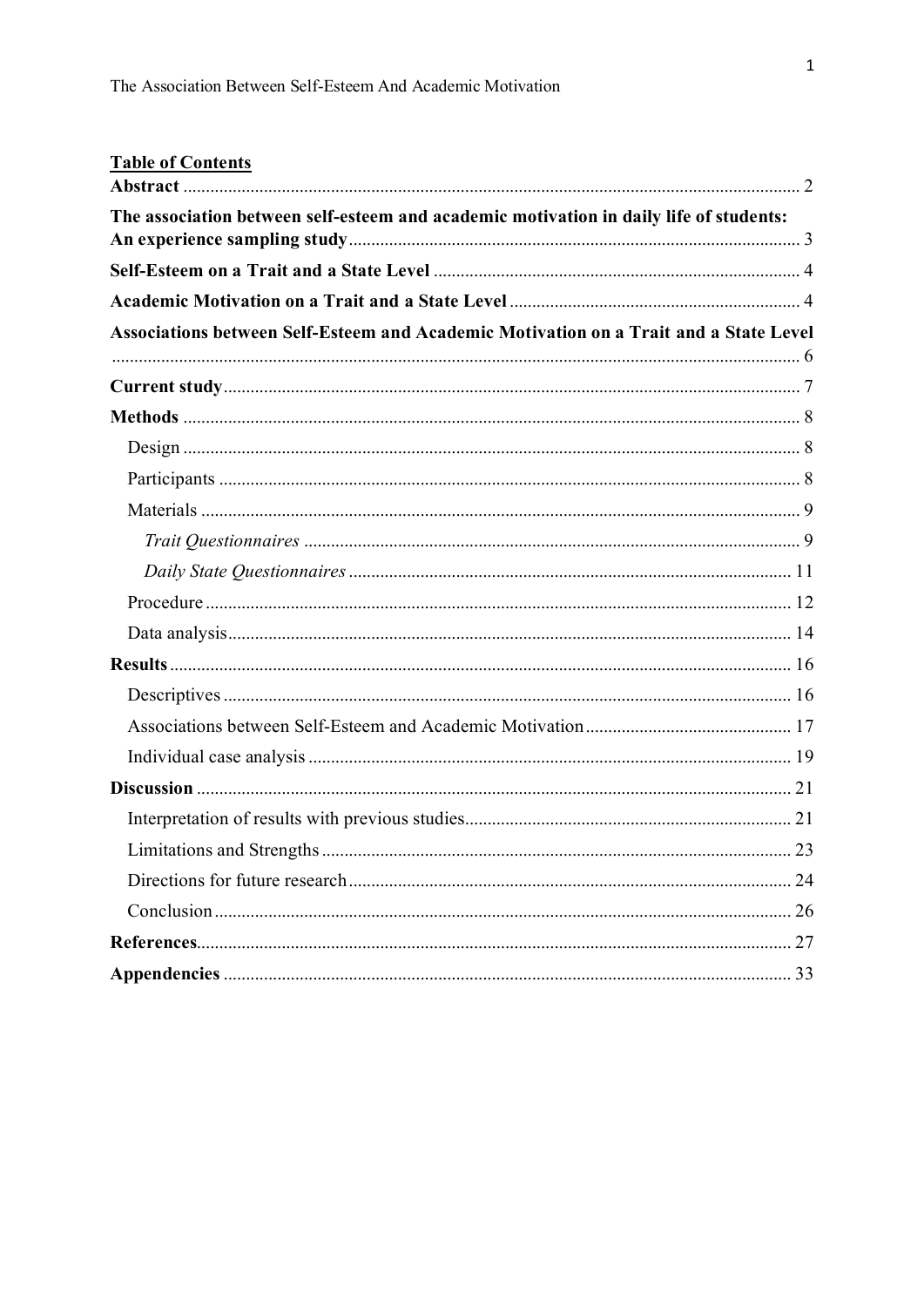| <b>Table of Contents</b>                                                               |             |
|----------------------------------------------------------------------------------------|-------------|
| The association between self-esteem and academic motivation in daily life of students: |             |
|                                                                                        |             |
|                                                                                        |             |
| Associations between Self-Esteem and Academic Motivation on a Trait and a State Level  |             |
|                                                                                        |             |
|                                                                                        |             |
|                                                                                        |             |
|                                                                                        |             |
|                                                                                        |             |
|                                                                                        |             |
|                                                                                        |             |
|                                                                                        |             |
|                                                                                        |             |
|                                                                                        |             |
|                                                                                        |             |
|                                                                                        |             |
|                                                                                        |             |
|                                                                                        |             |
|                                                                                        |             |
|                                                                                        |             |
|                                                                                        | $\ldots$ 23 |
|                                                                                        |             |
|                                                                                        |             |
|                                                                                        |             |
|                                                                                        |             |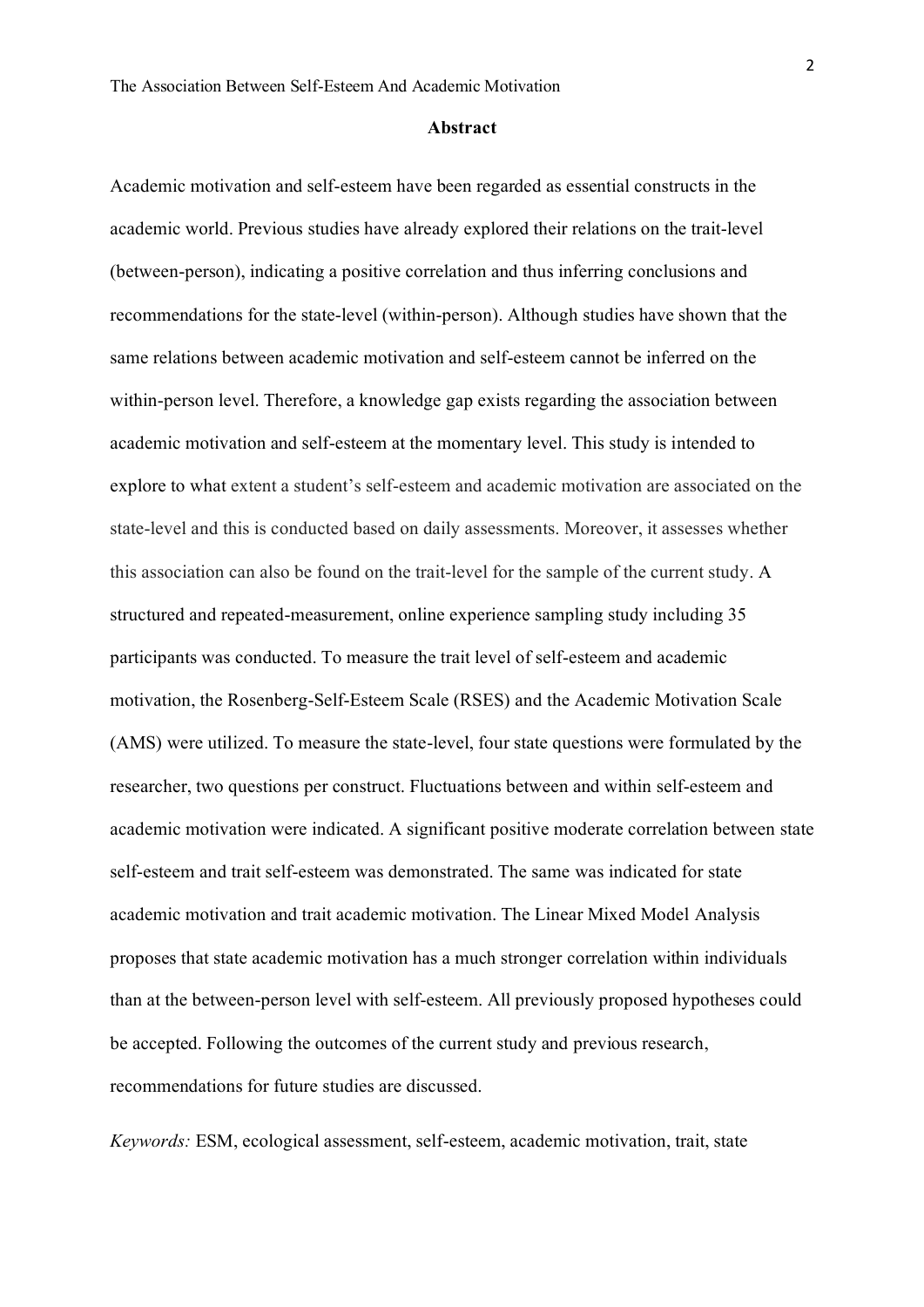#### **Abstract**

<span id="page-2-0"></span>Academic motivation and self-esteem have been regarded as essential constructs in the academic world. Previous studies have already explored their relations on the trait-level (between-person), indicating a positive correlation and thus inferring conclusions and recommendations for the state-level (within-person). Although studies have shown that the same relations between academic motivation and self-esteem cannot be inferred on the within-person level. Therefore, a knowledge gap exists regarding the association between academic motivation and self-esteem at the momentary level. This study is intended to explore to what extent a student's self-esteem and academic motivation are associated on the state-level and this is conducted based on daily assessments. Moreover, it assesses whether this association can also be found on the trait-level for the sample of the current study. A structured and repeated-measurement, online experience sampling study including 35 participants was conducted. To measure the trait level of self-esteem and academic motivation, the Rosenberg-Self-Esteem Scale (RSES) and the Academic Motivation Scale (AMS) were utilized. To measure the state-level, four state questions were formulated by the researcher, two questions per construct. Fluctuations between and within self-esteem and academic motivation were indicated. A significant positive moderate correlation between state self-esteem and trait self-esteem was demonstrated. The same was indicated for state academic motivation and trait academic motivation. The Linear Mixed Model Analysis proposes that state academic motivation has a much stronger correlation within individuals than at the between-person level with self-esteem. All previously proposed hypotheses could be accepted. Following the outcomes of the current study and previous research, recommendations for future studies are discussed.

*Keywords:* ESM, ecological assessment, self-esteem, academic motivation, trait, state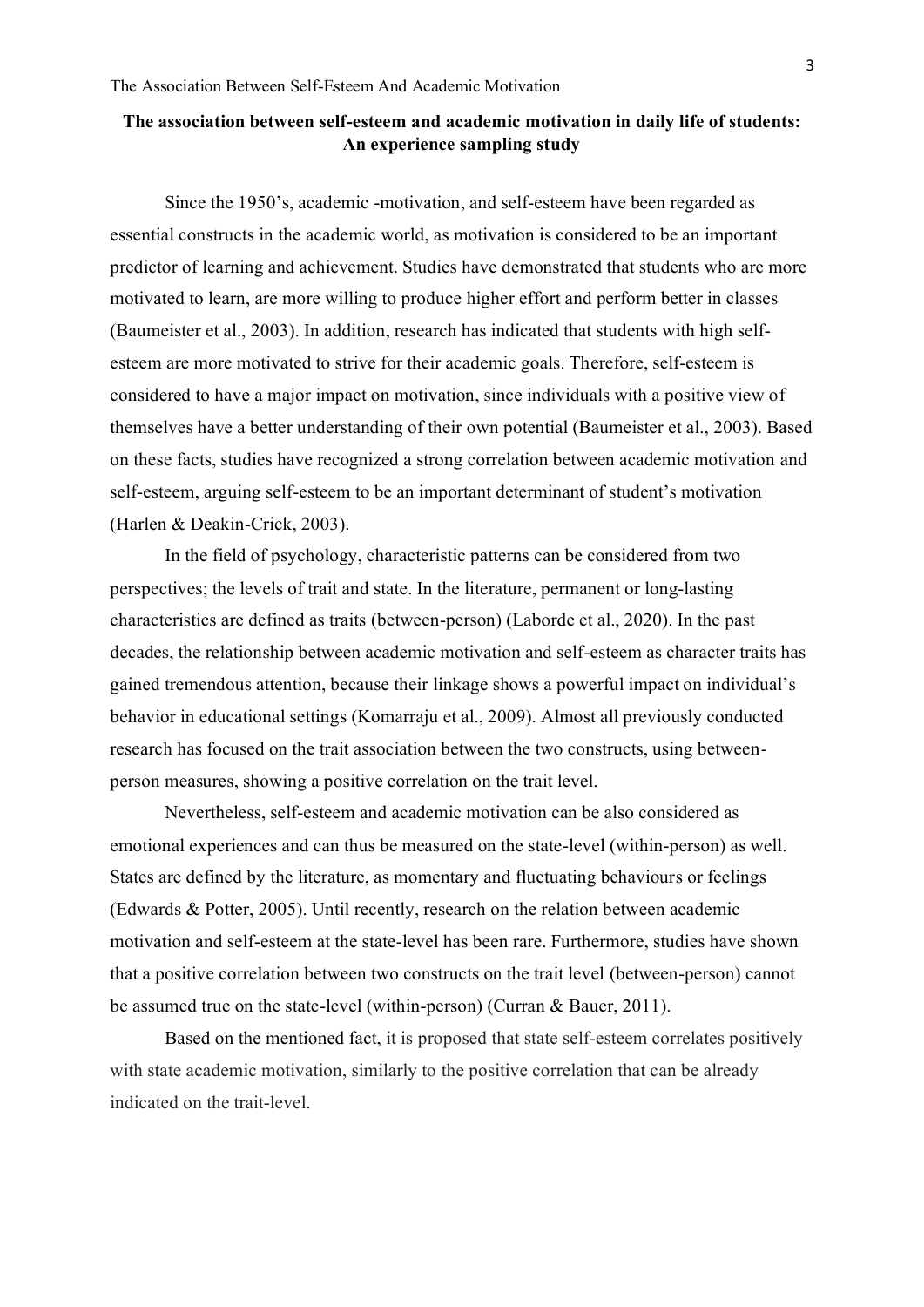# <span id="page-3-0"></span>**The association between self-esteem and academic motivation in daily life of students: An experience sampling study**

Since the 1950's, academic -motivation, and self-esteem have been regarded as essential constructs in the academic world, as motivation is considered to be an important predictor of learning and achievement. Studies have demonstrated that students who are more motivated to learn, are more willing to produce higher effort and perform better in classes (Baumeister et al., 2003). In addition, research has indicated that students with high selfesteem are more motivated to strive for their academic goals. Therefore, self-esteem is considered to have a major impact on motivation, since individuals with a positive view of themselves have a better understanding of their own potential (Baumeister et al., 2003). Based on these facts, studies have recognized a strong correlation between academic motivation and self-esteem, arguing self-esteem to be an important determinant of student's motivation (Harlen & Deakin-Crick, 2003).

In the field of psychology, characteristic patterns can be considered from two perspectives; the levels of trait and state. In the literature, permanent or long-lasting characteristics are defined as traits (between-person) (Laborde et al., 2020). In the past decades, the relationship between academic motivation and self-esteem as character traits has gained tremendous attention, because their linkage shows a powerful impact on individual's behavior in educational settings (Komarraju et al., 2009). Almost all previously conducted research has focused on the trait association between the two constructs, using betweenperson measures, showing a positive correlation on the trait level.

Nevertheless, self-esteem and academic motivation can be also considered as emotional experiences and can thus be measured on the state-level (within-person) as well. States are defined by the literature, as momentary and fluctuating behaviours or feelings (Edwards & Potter, 2005). Until recently, research on the relation between academic motivation and self-esteem at the state-level has been rare. Furthermore, studies have shown that a positive correlation between two constructs on the trait level (between-person) cannot be assumed true on the state-level (within-person) (Curran & Bauer, 2011).

<span id="page-3-1"></span>Based on the mentioned fact, it is proposed that state self-esteem correlates positively with state academic motivation, similarly to the positive correlation that can be already indicated on the trait-level.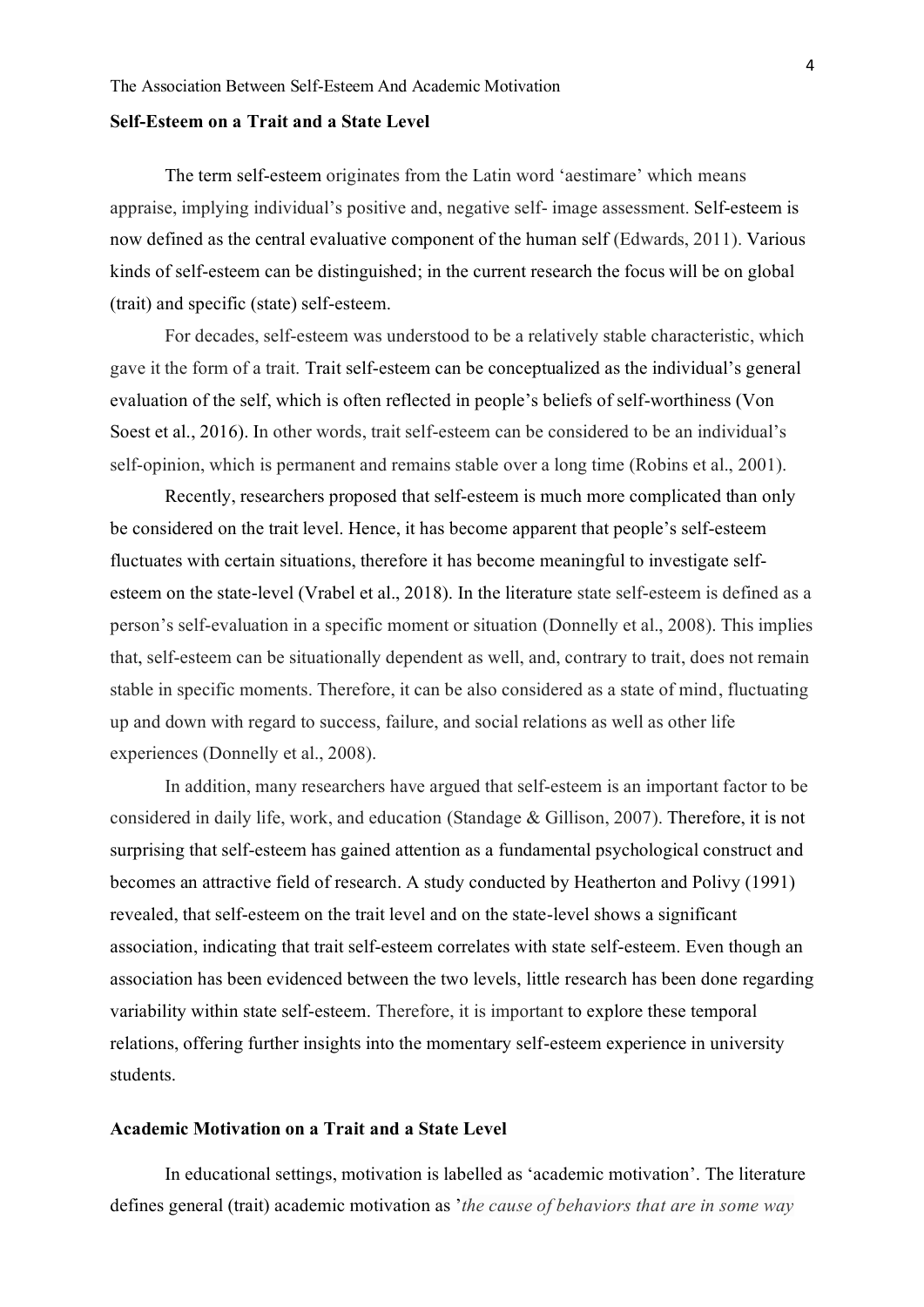#### **Self-Esteem on a Trait and a State Level**

The term self-esteem originates from the Latin word 'aestimare' which means appraise, implying individual's positive and, negative self- image assessment. Self-esteem is now defined as the central evaluative component of the human self (Edwards, 2011). Various kinds of self-esteem can be distinguished; in the current research the focus will be on global (trait) and specific (state) self-esteem.

For decades, self-esteem was understood to be a relatively stable characteristic, which gave it the form of a trait. Trait self-esteem can be conceptualized as the individual's general evaluation of the self, which is often reflected in people's beliefs of self-worthiness (Von Soest et al., 2016). In other words, trait self-esteem can be considered to be an individual's self-opinion, which is permanent and remains stable over a long time (Robins et al., 2001).

Recently, researchers proposed that self-esteem is much more complicated than only be considered on the trait level. Hence, it has become apparent that people's self-esteem fluctuates with certain situations, therefore it has become meaningful to investigate selfesteem on the state-level (Vrabel et al., 2018). In the literature state self-esteem is defined as a person's self-evaluation in a specific moment or situation (Donnelly et al., 2008). This implies that, self-esteem can be situationally dependent as well, and, contrary to trait, does not remain stable in specific moments. Therefore, it can be also considered as a state of mind, fluctuating up and down with regard to success, failure, and social relations as well as other life experiences (Donnelly et al., 2008).

In addition, many researchers have argued that self-esteem is an important factor to be considered in daily life, work, and education (Standage & Gillison, 2007). Therefore, it is not surprising that self-esteem has gained attention as a fundamental psychological construct and becomes an attractive field of research. A study conducted by Heatherton and Polivy (1991) revealed, that self-esteem on the trait level and on the state-level shows a significant association, indicating that trait self-esteem correlates with state self-esteem. Even though an association has been evidenced between the two levels, little research has been done regarding variability within state self-esteem. Therefore, it is important to explore these temporal relations, offering further insights into the momentary self-esteem experience in university students.

# <span id="page-4-0"></span>**Academic Motivation on a Trait and a State Level**

In educational settings, motivation is labelled as 'academic motivation'. The literature defines general (trait) academic motivation as '*the cause of behaviors that are in some way*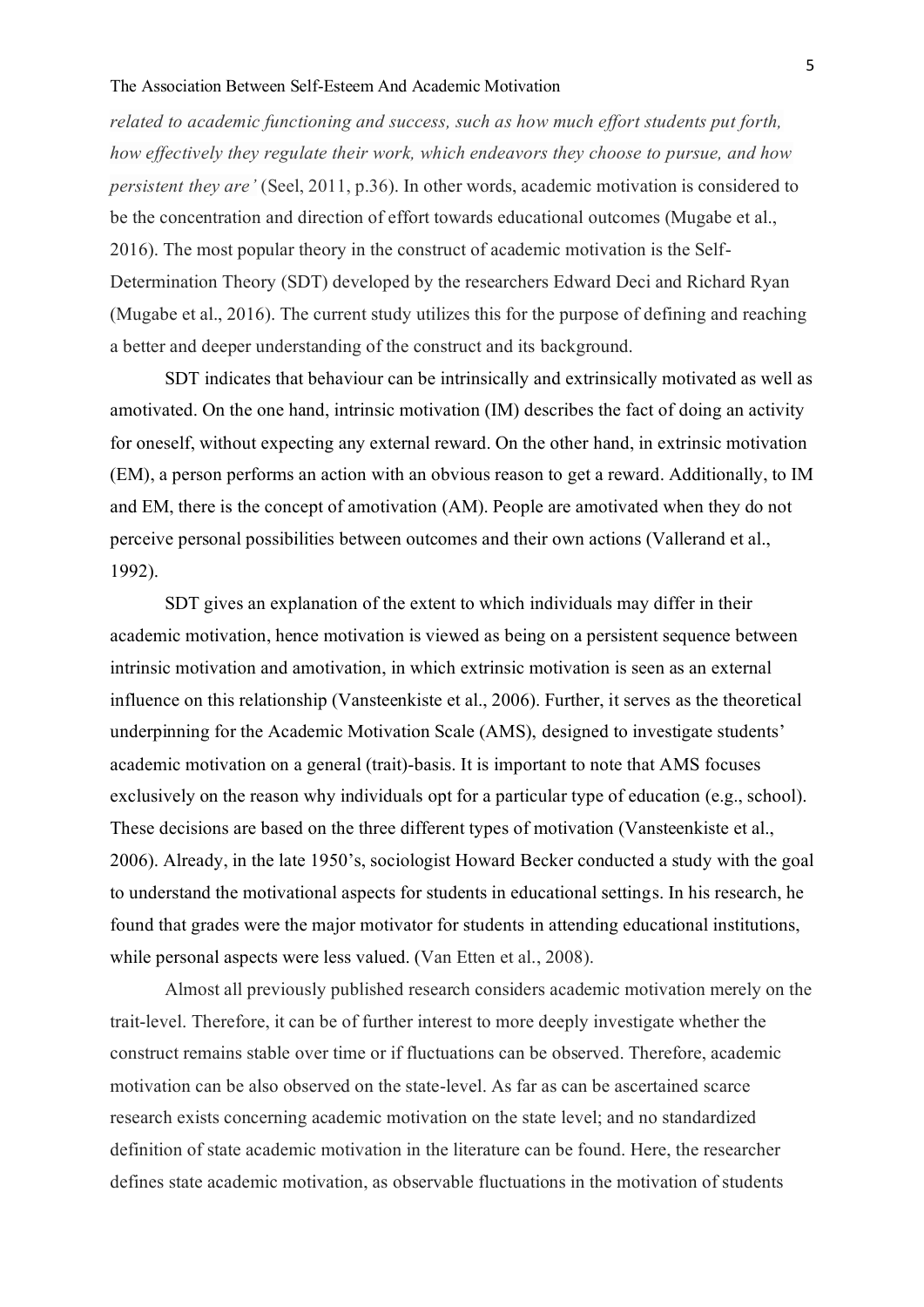## The Association Between Self-Esteem And Academic Motivation

*related to academic functioning and success, such as how much effort students put forth, how effectively they regulate their work, which endeavors they choose to pursue, and how persistent they are'* (Seel, 2011, p.36). In other words, academic motivation is considered to be the concentration and direction of effort towards educational outcomes (Mugabe et al., 2016). The most popular theory in the construct of academic motivation is the Self-Determination Theory (SDT) developed by the researchers Edward Deci and Richard Ryan (Mugabe et al., 2016). The current study utilizes this for the purpose of defining and reaching a better and deeper understanding of the construct and its background.

SDT indicates that behaviour can be intrinsically and extrinsically motivated as well as amotivated. On the one hand, intrinsic motivation (IM) describes the fact of doing an activity for oneself, without expecting any external reward. On the other hand, in extrinsic motivation (EM), a person performs an action with an obvious reason to get a reward. Additionally, to IM and EM, there is the concept of amotivation (AM). People are amotivated when they do not perceive personal possibilities between outcomes and their own actions (Vallerand et al., 1992).

SDT gives an explanation of the extent to which individuals may differ in their academic motivation, hence motivation is viewed as being on a persistent sequence between intrinsic motivation and amotivation, in which extrinsic motivation is seen as an external influence on this relationship (Vansteenkiste et al., 2006). Further, it serves as the theoretical underpinning for the Academic Motivation Scale (AMS), designed to investigate students' academic motivation on a general (trait)-basis. It is important to note that AMS focuses exclusively on the reason why individuals opt for a particular type of education (e.g., school). These decisions are based on the three different types of motivation (Vansteenkiste et al., 2006). Already, in the late 1950's, sociologist Howard Becker conducted a study with the goal to understand the motivational aspects for students in educational settings. In his research, he found that grades were the major motivator for students in attending educational institutions, while personal aspects were less valued. (Van Etten et al., 2008).

Almost all previously published research considers academic motivation merely on the trait-level. Therefore, it can be of further interest to more deeply investigate whether the construct remains stable over time or if fluctuations can be observed. Therefore, academic motivation can be also observed on the state-level. As far as can be ascertained scarce research exists concerning academic motivation on the state level; and no standardized definition of state academic motivation in the literature can be found. Here, the researcher defines state academic motivation, as observable fluctuations in the motivation of students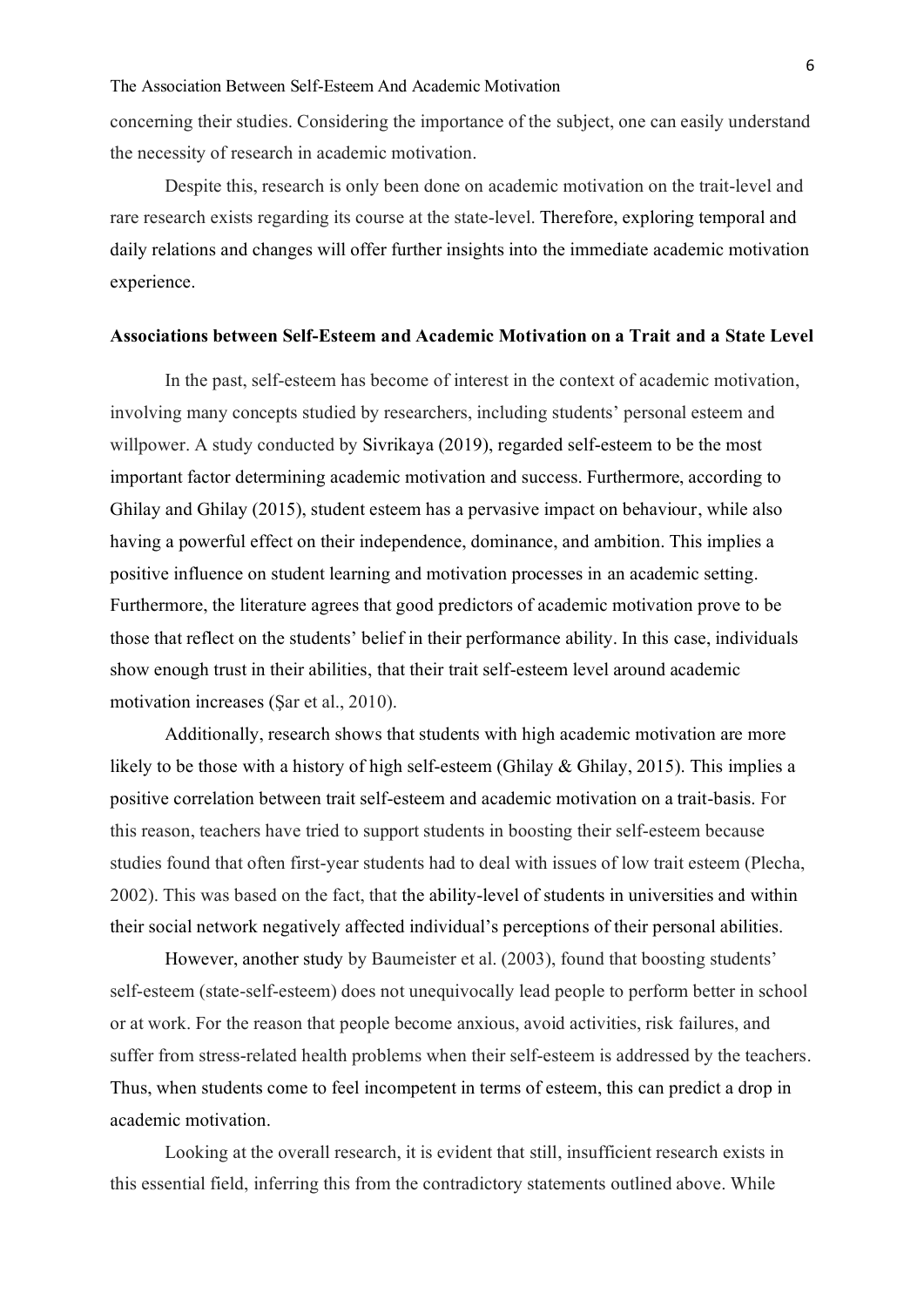concerning their studies. Considering the importance of the subject, one can easily understand the necessity of research in academic motivation.

Despite this, research is only been done on academic motivation on the trait-level and rare research exists regarding its course at the state-level. Therefore, exploring temporal and daily relations and changes will offer further insights into the immediate academic motivation experience.

#### <span id="page-6-0"></span>**Associations between Self-Esteem and Academic Motivation on a Trait and a State Level**

In the past, self-esteem has become of interest in the context of academic motivation, involving many concepts studied by researchers, including students' personal esteem and willpower. A study conducted by Sivrikaya (2019), regarded self-esteem to be the most important factor determining academic motivation and success. Furthermore, according to Ghilay and Ghilay (2015), student esteem has a pervasive impact on behaviour, while also having a powerful effect on their independence, dominance, and ambition. This implies a positive influence on student learning and motivation processes in an academic setting. Furthermore, the literature agrees that good predictors of academic motivation prove to be those that reflect on the students' belief in their performance ability. In this case, individuals show enough trust in their abilities, that their trait self-esteem level around academic motivation increases (Şar et al., 2010).

Additionally, research shows that students with high academic motivation are more likely to be those with a history of high self-esteem (Ghilay & Ghilay, 2015). This implies a positive correlation between trait self-esteem and academic motivation on a trait-basis. For this reason, teachers have tried to support students in boosting their self-esteem because studies found that often first-year students had to deal with issues of low trait esteem (Plecha, 2002). This was based on the fact, that the ability-level of students in universities and within their social network negatively affected individual's perceptions of their personal abilities.

However, another study by Baumeister et al. (2003), found that boosting students' self-esteem (state-self-esteem) does not unequivocally lead people to perform better in school or at work. For the reason that people become anxious, avoid activities, risk failures, and suffer from stress-related health problems when their self-esteem is addressed by the teachers. Thus, when students come to feel incompetent in terms of esteem, this can predict a drop in academic motivation.

Looking at the overall research, it is evident that still, insufficient research exists in this essential field, inferring this from the contradictory statements outlined above. While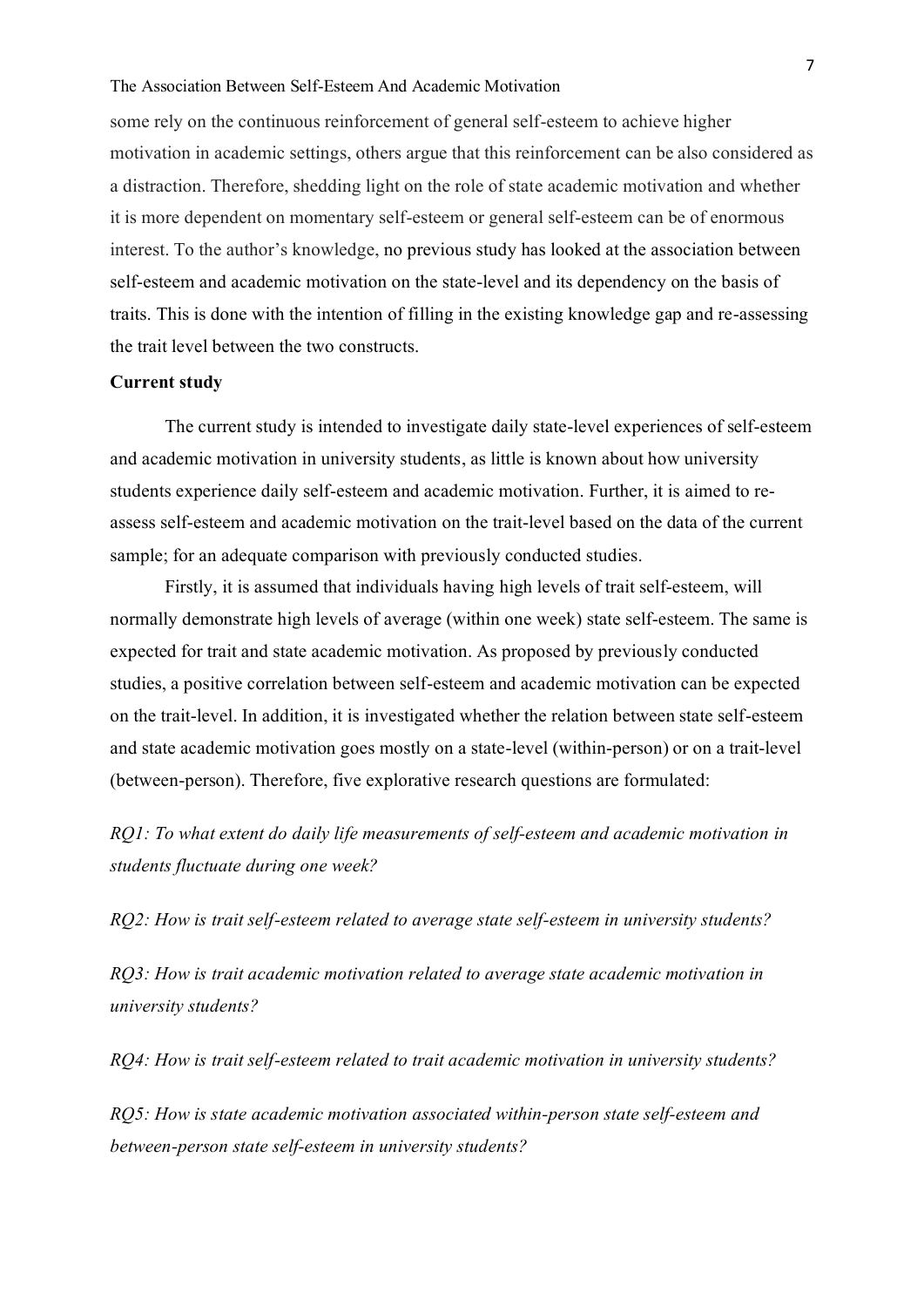# The Association Between Self-Esteem And Academic Motivation

some rely on the continuous reinforcement of general self-esteem to achieve higher motivation in academic settings, others argue that this reinforcement can be also considered as a distraction. Therefore, shedding light on the role of state academic motivation and whether it is more dependent on momentary self-esteem or general self-esteem can be of enormous interest. To the author's knowledge, no previous study has looked at the association between self-esteem and academic motivation on the state-level and its dependency on the basis of traits. This is done with the intention of filling in the existing knowledge gap and re-assessing the trait level between the two constructs.

# <span id="page-7-0"></span>**Current study**

The current study is intended to investigate daily state-level experiences of self-esteem and academic motivation in university students, as little is known about how university students experience daily self-esteem and academic motivation. Further, it is aimed to reassess self-esteem and academic motivation on the trait-level based on the data of the current sample; for an adequate comparison with previously conducted studies.

Firstly, it is assumed that individuals having high levels of trait self-esteem, will normally demonstrate high levels of average (within one week) state self-esteem. The same is expected for trait and state academic motivation. As proposed by previously conducted studies, a positive correlation between self-esteem and academic motivation can be expected on the trait-level. In addition, it is investigated whether the relation between state self-esteem and state academic motivation goes mostly on a state-level (within-person) or on a trait-level (between-person). Therefore, five explorative research questions are formulated:

*RQ1: To what extent do daily life measurements of self-esteem and academic motivation in students fluctuate during one week?*

*RQ2: How is trait self-esteem related to average state self-esteem in university students?*

*RQ3: How is trait academic motivation related to average state academic motivation in university students?*

*RQ4: How is trait self-esteem related to trait academic motivation in university students?* 

*RQ5: How is state academic motivation associated within-person state self-esteem and between-person state self-esteem in university students?*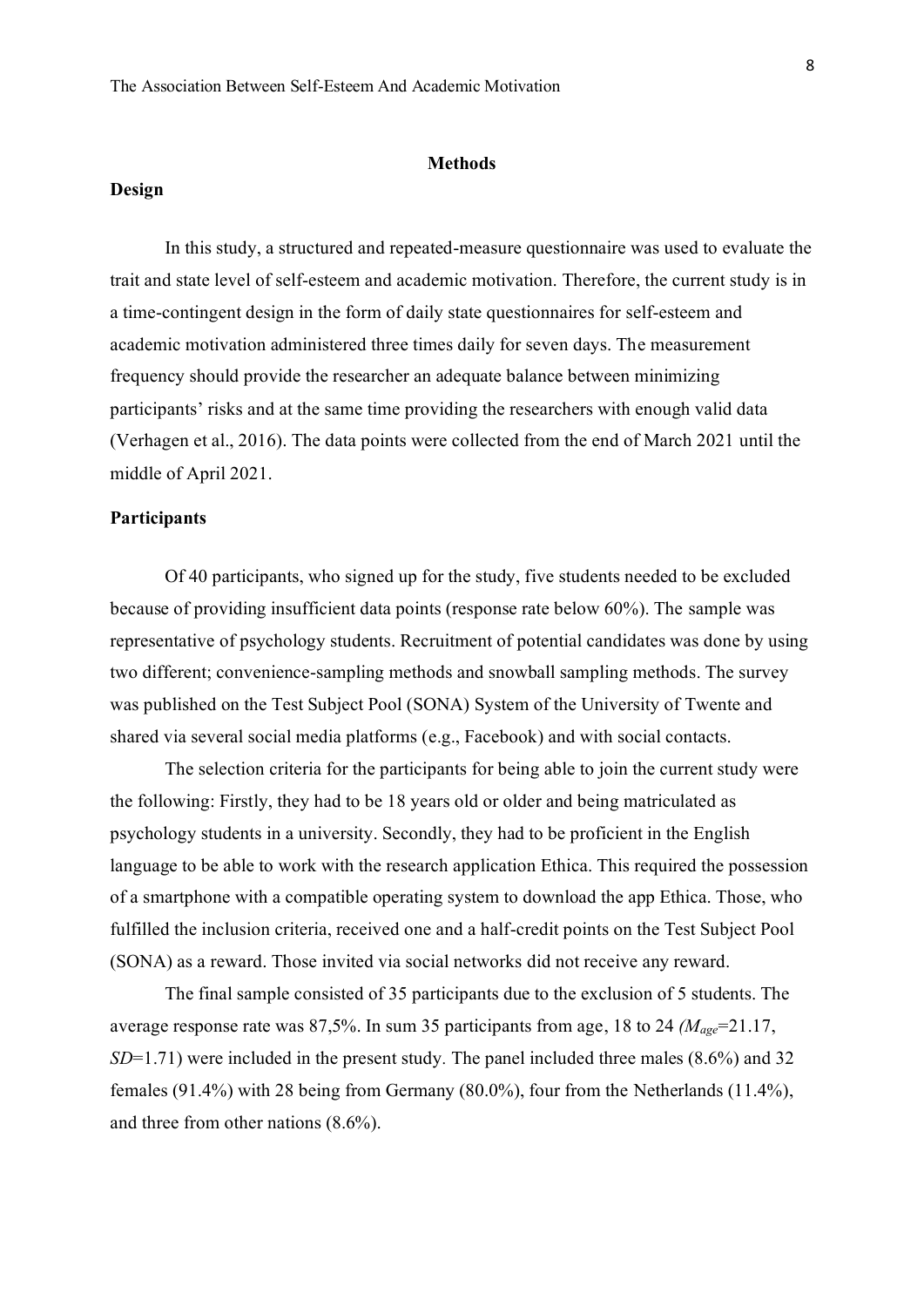## **Methods**

# <span id="page-8-1"></span><span id="page-8-0"></span>**Design**

In this study, a structured and repeated-measure questionnaire was used to evaluate the trait and state level of self-esteem and academic motivation. Therefore, the current study is in a time-contingent design in the form of daily state questionnaires for self-esteem and academic motivation administered three times daily for seven days. The measurement frequency should provide the researcher an adequate balance between minimizing participants' risks and at the same time providing the researchers with enough valid data (Verhagen et al., 2016). The data points were collected from the end of March 2021 until the middle of April 2021.

# <span id="page-8-2"></span>**Participants**

Of 40 participants, who signed up for the study, five students needed to be excluded because of providing insufficient data points (response rate below 60%). The sample was representative of psychology students. Recruitment of potential candidates was done by using two different; convenience-sampling methods and snowball sampling methods. The survey was published on the Test Subject Pool (SONA) System of the University of Twente and shared via several social media platforms (e.g., Facebook) and with social contacts.

The selection criteria for the participants for being able to join the current study were the following: Firstly, they had to be 18 years old or older and being matriculated as psychology students in a university. Secondly, they had to be proficient in the English language to be able to work with the research application Ethica. This required the possession of a smartphone with a compatible operating system to download the app Ethica. Those, who fulfilled the inclusion criteria, received one and a half-credit points on the Test Subject Pool (SONA) as a reward. Those invited via social networks did not receive any reward.

The final sample consisted of 35 participants due to the exclusion of 5 students. The average response rate was 87,5%. In sum 35 participants from age, 18 to 24 *(Mage*=21.17, *SD*=1.71) were included in the present study*.* The panel included three males (8.6%) and 32 females (91.4%) with 28 being from Germany (80.0%), four from the Netherlands (11.4%), and three from other nations (8.6%).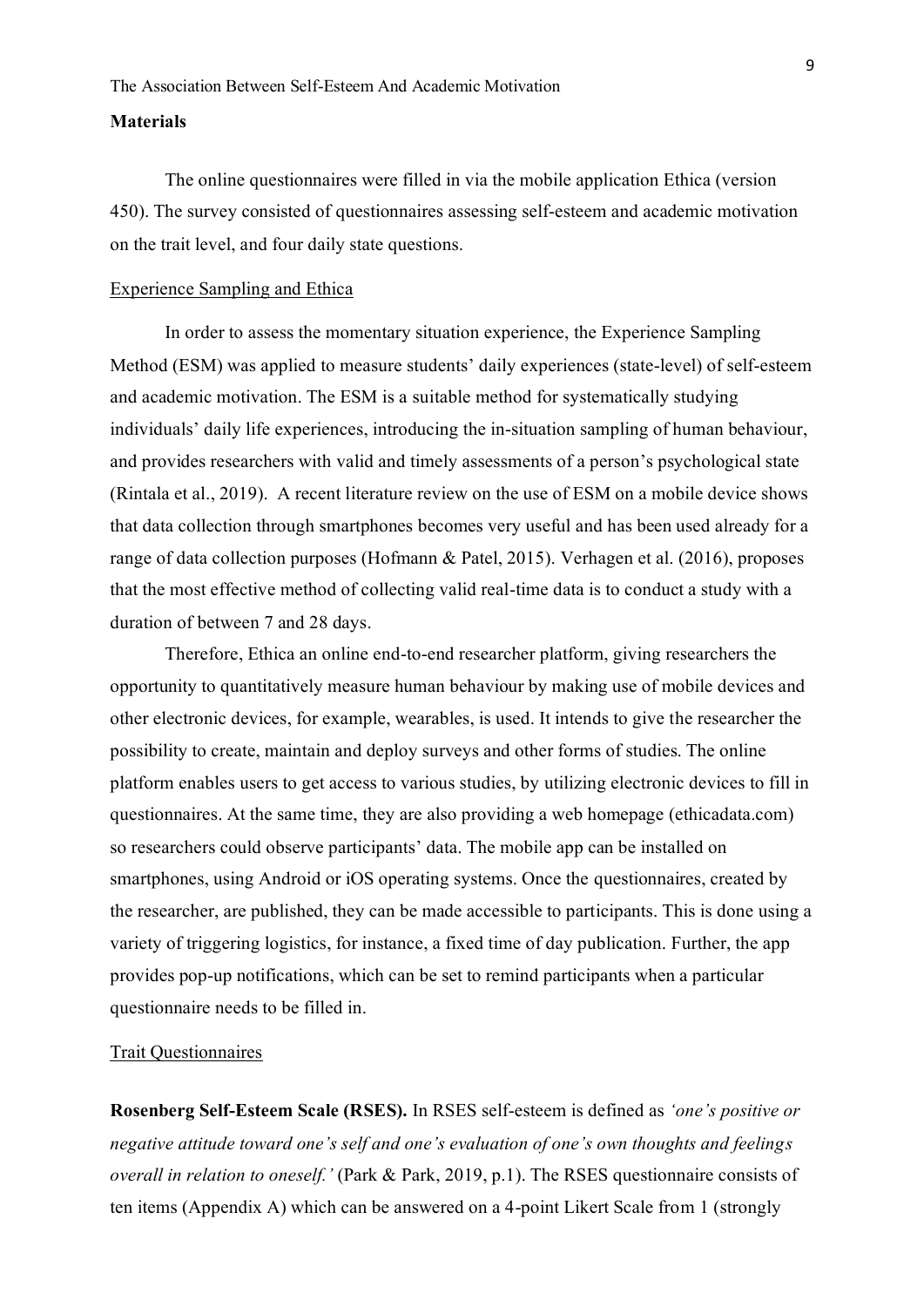## <span id="page-9-0"></span>**Materials**

The online questionnaires were filled in via the mobile application Ethica (version 450). The survey consisted of questionnaires assessing self-esteem and academic motivation on the trait level, and four daily state questions.

## Experience Sampling and Ethica

In order to assess the momentary situation experience, the Experience Sampling Method (ESM) was applied to measure students' daily experiences (state-level) of self-esteem and academic motivation. The ESM is a suitable method for systematically studying individuals' daily life experiences, introducing the in-situation sampling of human behaviour, and provides researchers with valid and timely assessments of a person's psychological state (Rintala et al., 2019). A recent literature review on the use of ESM on a mobile device shows that data collection through smartphones becomes very useful and has been used already for a range of data collection purposes (Hofmann & Patel, 2015). Verhagen et al. (2016), proposes that the most effective method of collecting valid real-time data is to conduct a study with a duration of between 7 and 28 days.

Therefore, Ethica an online end-to-end researcher platform, giving researchers the opportunity to quantitatively measure human behaviour by making use of mobile devices and other electronic devices, for example, wearables, is used. It intends to give the researcher the possibility to create, maintain and deploy surveys and other forms of studies. The online platform enables users to get access to various studies, by utilizing electronic devices to fill in questionnaires. At the same time, they are also providing a web homepage (ethicadata.com) so researchers could observe participants' data. The mobile app can be installed on smartphones, using Android or iOS operating systems. Once the questionnaires, created by the researcher, are published, they can be made accessible to participants. This is done using a variety of triggering logistics, for instance, a fixed time of day publication. Further, the app provides pop-up notifications, which can be set to remind participants when a particular questionnaire needs to be filled in.

# <span id="page-9-1"></span>Trait Questionnaires

**Rosenberg Self-Esteem Scale (RSES).** In RSES self-esteem is defined as *'one's positive or negative attitude toward one's self and one's evaluation of one's own thoughts and feelings overall in relation to oneself.'* (Park & Park, 2019, p.1). The RSES questionnaire consists of ten items (Appendix A) which can be answered on a 4-point Likert Scale from 1 (strongly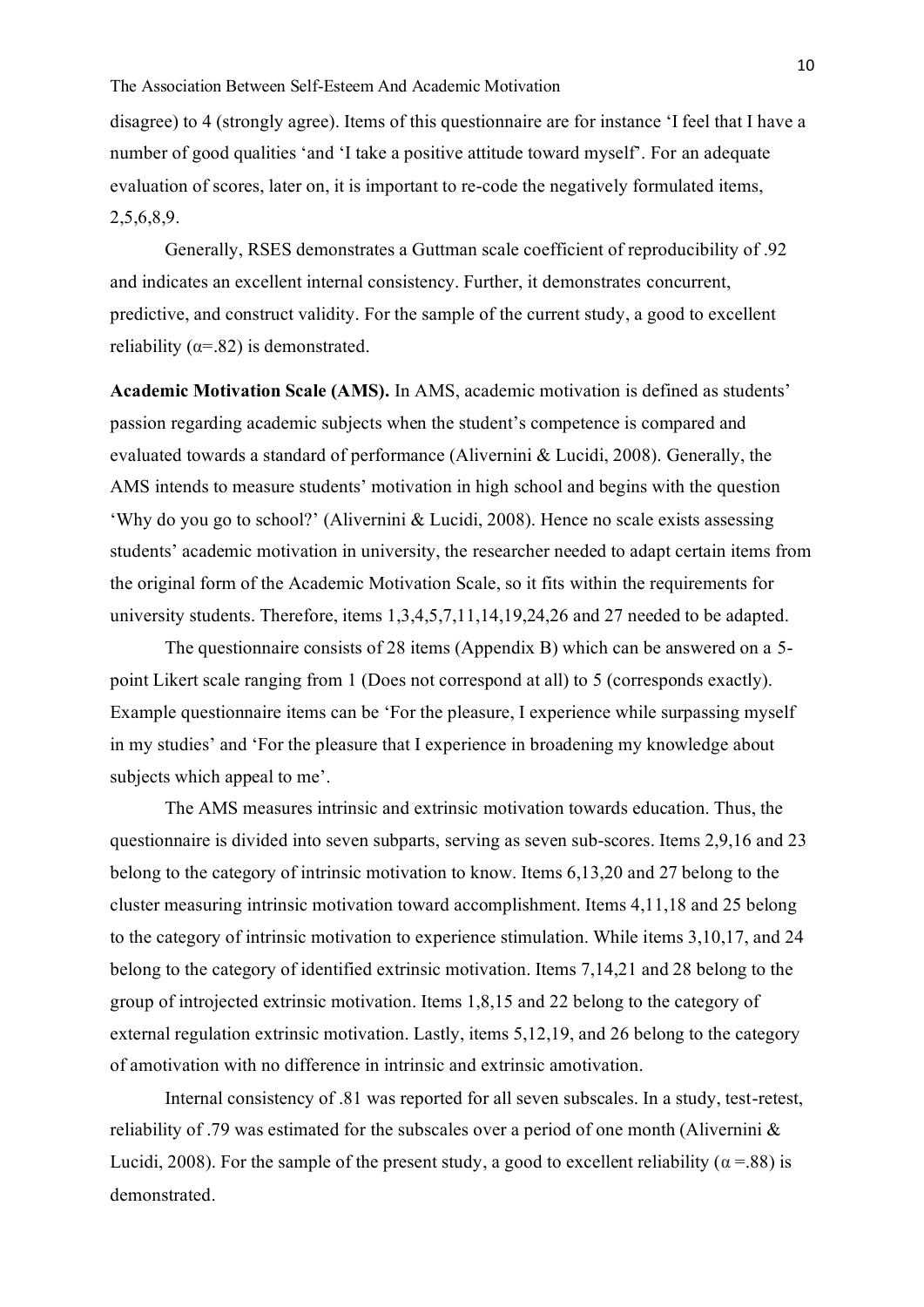disagree) to 4 (strongly agree). Items of this questionnaire are for instance 'I feel that I have a number of good qualities 'and 'I take a positive attitude toward myself'. For an adequate evaluation of scores, later on, it is important to re-code the negatively formulated items, 2,5,6,8,9.

Generally, RSES demonstrates a Guttman scale coefficient of reproducibility of .92 and indicates an excellent internal consistency. Further, it demonstrates concurrent, predictive, and construct validity. For the sample of the current study, a good to excellent reliability ( $\alpha = .82$ ) is demonstrated.

**Academic Motivation Scale (AMS).** In AMS, academic motivation is defined as students' passion regarding academic subjects when the student's competence is compared and evaluated towards a standard of performance (Alivernini & Lucidi, 2008). Generally, the AMS intends to measure students' motivation in high school and begins with the question 'Why do you go to school?' (Alivernini & Lucidi, 2008). Hence no scale exists assessing students' academic motivation in university, the researcher needed to adapt certain items from the original form of the Academic Motivation Scale, so it fits within the requirements for university students. Therefore, items 1,3,4,5,7,11,14,19,24,26 and 27 needed to be adapted.

The questionnaire consists of 28 items (Appendix B) which can be answered on a 5 point Likert scale ranging from 1 (Does not correspond at all) to 5 (corresponds exactly). Example questionnaire items can be 'For the pleasure, I experience while surpassing myself in my studies' and 'For the pleasure that I experience in broadening my knowledge about subjects which appeal to me'.

The AMS measures intrinsic and extrinsic motivation towards education. Thus, the questionnaire is divided into seven subparts, serving as seven sub-scores. Items 2,9,16 and 23 belong to the category of intrinsic motivation to know. Items 6,13,20 and 27 belong to the cluster measuring intrinsic motivation toward accomplishment. Items 4,11,18 and 25 belong to the category of intrinsic motivation to experience stimulation. While items 3,10,17, and 24 belong to the category of identified extrinsic motivation. Items 7,14,21 and 28 belong to the group of introjected extrinsic motivation. Items 1,8,15 and 22 belong to the category of external regulation extrinsic motivation. Lastly, items 5,12,19, and 26 belong to the category of amotivation with no difference in intrinsic and extrinsic amotivation.

Internal consistency of .81 was reported for all seven subscales. In a study, test-retest, reliability of .79 was estimated for the subscales over a period of one month (Alivernini & Lucidi, 2008). For the sample of the present study, a good to excellent reliability ( $\alpha$  =.88) is demonstrated.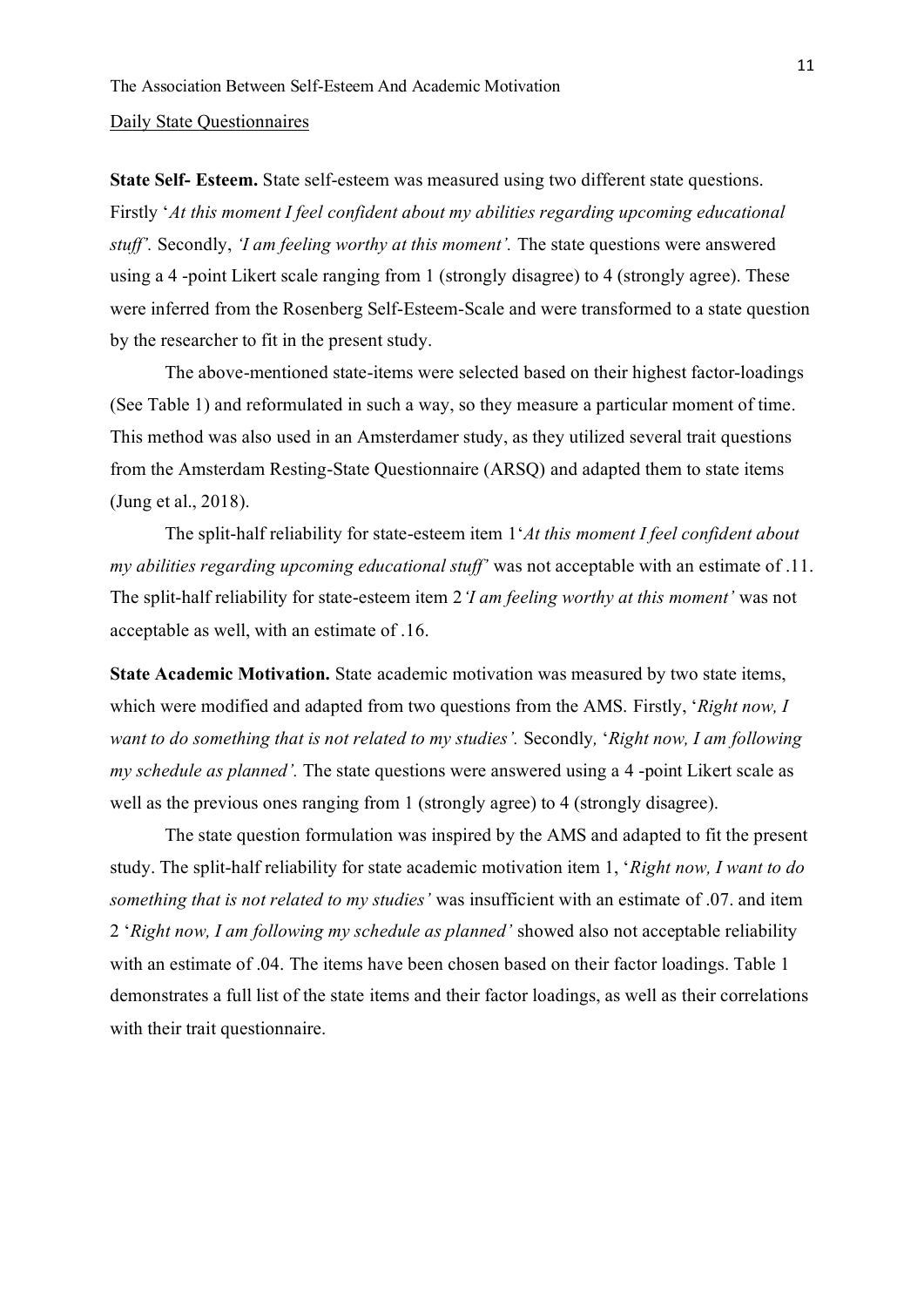#### <span id="page-11-0"></span>Daily State Questionnaires

**State Self- Esteem.** State self-esteem was measured using two different state questions. Firstly '*At this moment I feel confident about my abilities regarding upcoming educational stuff'.* Secondly, *'I am feeling worthy at this moment'.* The state questions were answered using a 4 -point Likert scale ranging from 1 (strongly disagree) to 4 (strongly agree). These were inferred from the Rosenberg Self-Esteem-Scale and were transformed to a state question by the researcher to fit in the present study.

The above-mentioned state-items were selected based on their highest factor-loadings (See Table 1) and reformulated in such a way, so they measure a particular moment of time. This method was also used in an Amsterdamer study, as they utilized several trait questions from the Amsterdam Resting-State Questionnaire (ARSQ) and adapted them to state items (Jung et al., 2018).

The split-half reliability for state-esteem item 1'*At this moment I feel confident about my abilities regarding upcoming educational stuff'* was not acceptable with an estimate of .11. The split-half reliability for state-esteem item 2*'I am feeling worthy at this moment'* was not acceptable as well, with an estimate of .16.

**State Academic Motivation.** State academic motivation was measured by two state items, which were modified and adapted from two questions from the AMS. Firstly, '*Right now, I want to do something that is not related to my studies'.* Secondly*,* '*Right now, I am following my schedule as planned'.* The state questions were answered using a 4 -point Likert scale as well as the previous ones ranging from 1 (strongly agree) to 4 (strongly disagree).

The state question formulation was inspired by the AMS and adapted to fit the present study. The split-half reliability for state academic motivation item 1, '*Right now, I want to do something that is not related to my studies'* was insufficient with an estimate of .07. and item 2 '*Right now, I am following my schedule as planned'* showed also not acceptable reliability with an estimate of .04. The items have been chosen based on their factor loadings. Table 1 demonstrates a full list of the state items and their factor loadings, as well as their correlations with their trait questionnaire.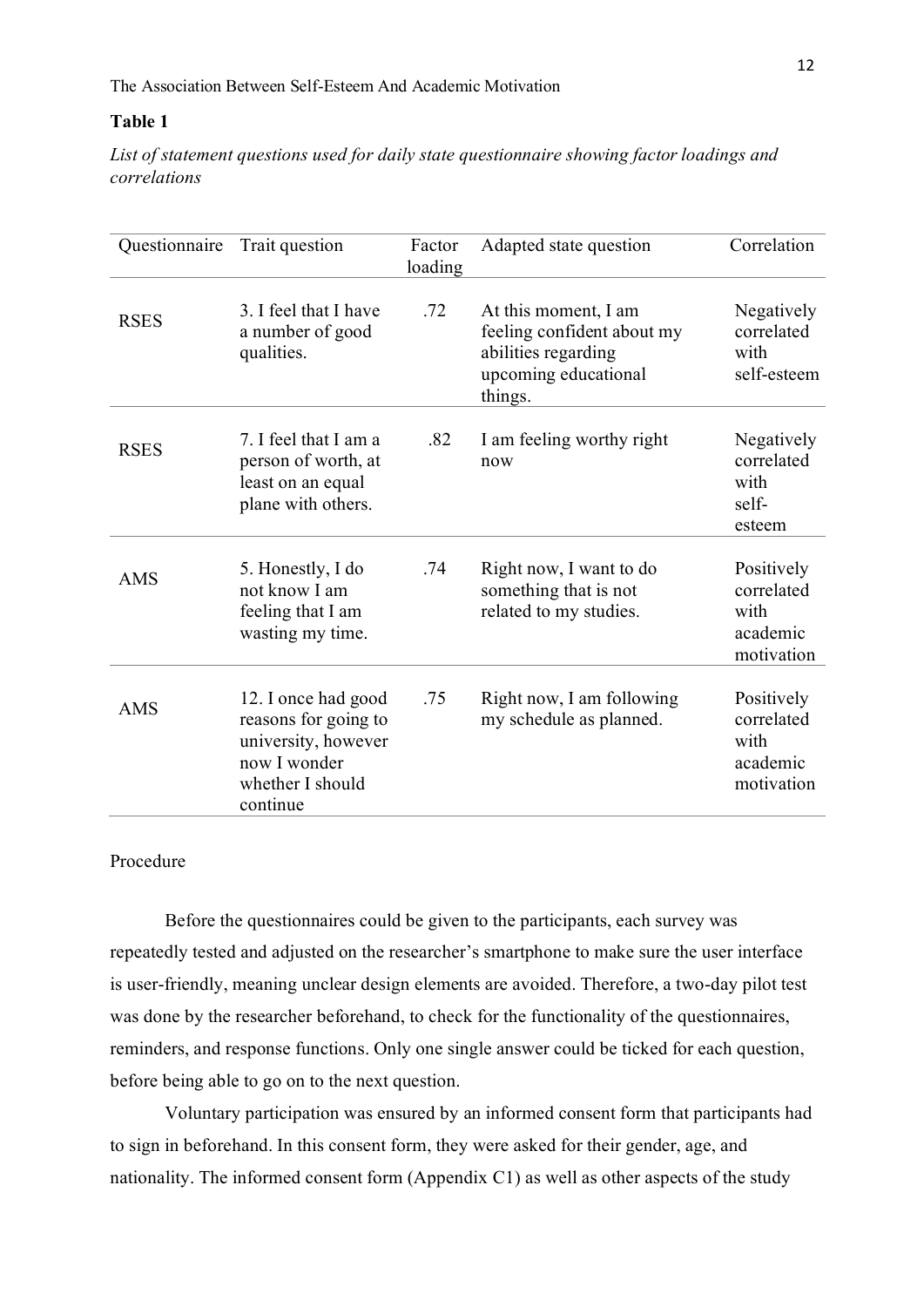# **Table 1**

*List of statement questions used for daily state questionnaire showing factor loadings and correlations*

| Questionnaire | Trait question                                                                                                     | Factor<br>loading | Adapted state question                                                                                       | Correlation                                                |
|---------------|--------------------------------------------------------------------------------------------------------------------|-------------------|--------------------------------------------------------------------------------------------------------------|------------------------------------------------------------|
| <b>RSES</b>   | 3. I feel that I have<br>a number of good<br>qualities.                                                            | .72               | At this moment, I am<br>feeling confident about my<br>abilities regarding<br>upcoming educational<br>things. | Negatively<br>correlated<br>with<br>self-esteem            |
| <b>RSES</b>   | 7. I feel that I am a<br>person of worth, at<br>least on an equal<br>plane with others.                            | .82               | I am feeling worthy right<br>now                                                                             | Negatively<br>correlated<br>with<br>self-<br>esteem        |
| <b>AMS</b>    | 5. Honestly, I do<br>not know I am<br>feeling that I am<br>wasting my time.                                        | .74               | Right now, I want to do<br>something that is not<br>related to my studies.                                   | Positively<br>correlated<br>with<br>academic<br>motivation |
| <b>AMS</b>    | 12. I once had good<br>reasons for going to<br>university, however<br>now I wonder<br>whether I should<br>continue | .75               | Right now, I am following<br>my schedule as planned.                                                         | Positively<br>correlated<br>with<br>academic<br>motivation |

# <span id="page-12-0"></span>Procedure

Before the questionnaires could be given to the participants, each survey was repeatedly tested and adjusted on the researcher's smartphone to make sure the user interface is user-friendly, meaning unclear design elements are avoided. Therefore, a two-day pilot test was done by the researcher beforehand, to check for the functionality of the questionnaires, reminders, and response functions. Only one single answer could be ticked for each question, before being able to go on to the next question.

Voluntary participation was ensured by an informed consent form that participants had to sign in beforehand. In this consent form, they were asked for their gender, age, and nationality. The informed consent form (Appendix C1) as well as other aspects of the study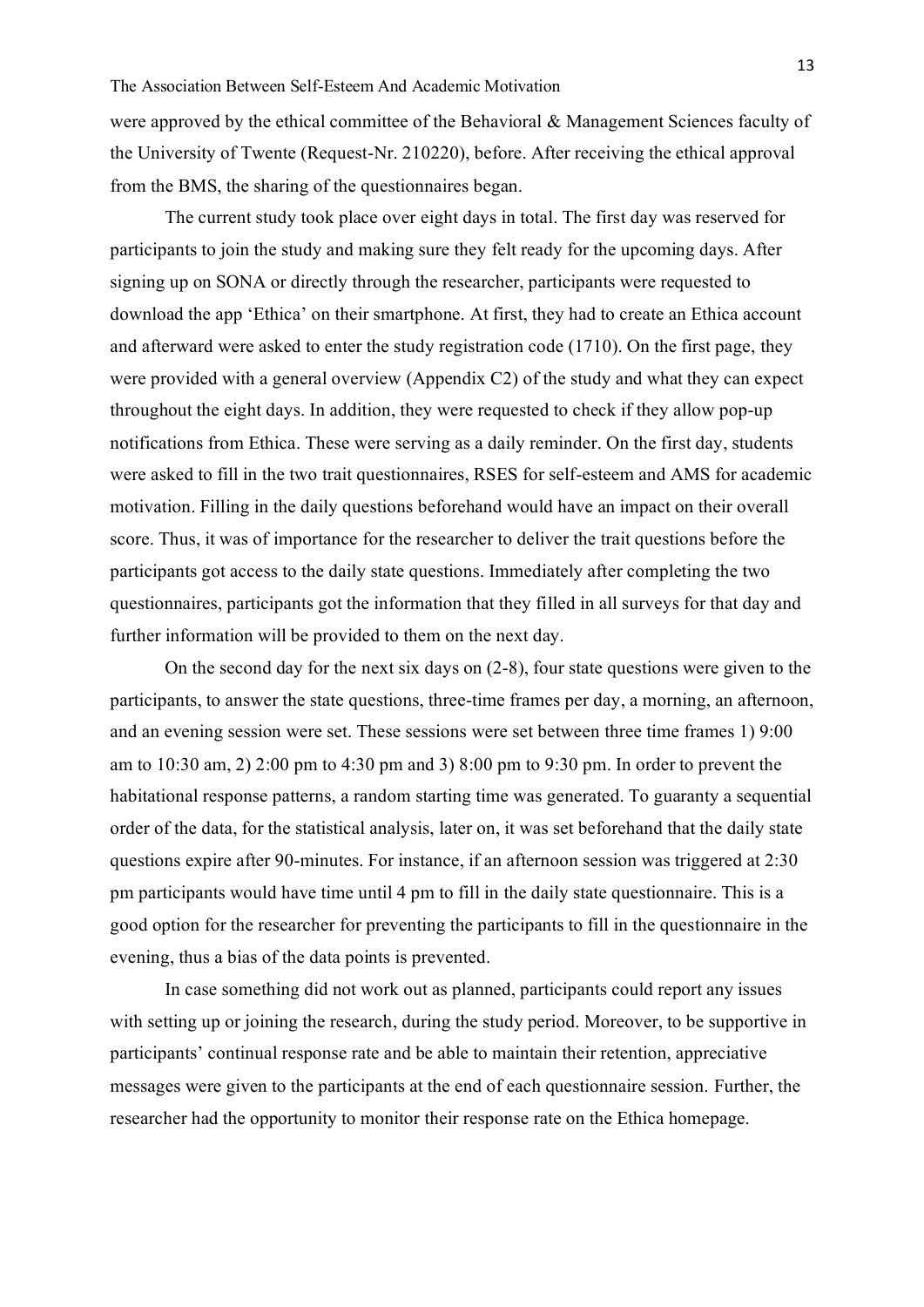were approved by the ethical committee of the Behavioral & Management Sciences faculty of the University of Twente (Request-Nr. 210220), before. After receiving the ethical approval from the BMS, the sharing of the questionnaires began.

The current study took place over eight days in total. The first day was reserved for participants to join the study and making sure they felt ready for the upcoming days. After signing up on SONA or directly through the researcher, participants were requested to download the app 'Ethica' on their smartphone. At first, they had to create an Ethica account and afterward were asked to enter the study registration code (1710). On the first page, they were provided with a general overview (Appendix C2) of the study and what they can expect throughout the eight days. In addition, they were requested to check if they allow pop-up notifications from Ethica. These were serving as a daily reminder. On the first day, students were asked to fill in the two trait questionnaires, RSES for self-esteem and AMS for academic motivation. Filling in the daily questions beforehand would have an impact on their overall score. Thus, it was of importance for the researcher to deliver the trait questions before the participants got access to the daily state questions. Immediately after completing the two questionnaires, participants got the information that they filled in all surveys for that day and further information will be provided to them on the next day.

On the second day for the next six days on (2-8), four state questions were given to the participants, to answer the state questions, three-time frames per day, a morning, an afternoon, and an evening session were set. These sessions were set between three time frames 1) 9:00 am to 10:30 am, 2) 2:00 pm to 4:30 pm and 3) 8:00 pm to 9:30 pm. In order to prevent the habitational response patterns, a random starting time was generated. To guaranty a sequential order of the data, for the statistical analysis, later on, it was set beforehand that the daily state questions expire after 90-minutes. For instance, if an afternoon session was triggered at 2:30 pm participants would have time until 4 pm to fill in the daily state questionnaire. This is a good option for the researcher for preventing the participants to fill in the questionnaire in the evening, thus a bias of the data points is prevented.

In case something did not work out as planned, participants could report any issues with setting up or joining the research, during the study period. Moreover, to be supportive in participants' continual response rate and be able to maintain their retention, appreciative messages were given to the participants at the end of each questionnaire session. Further, the researcher had the opportunity to monitor their response rate on the Ethica homepage.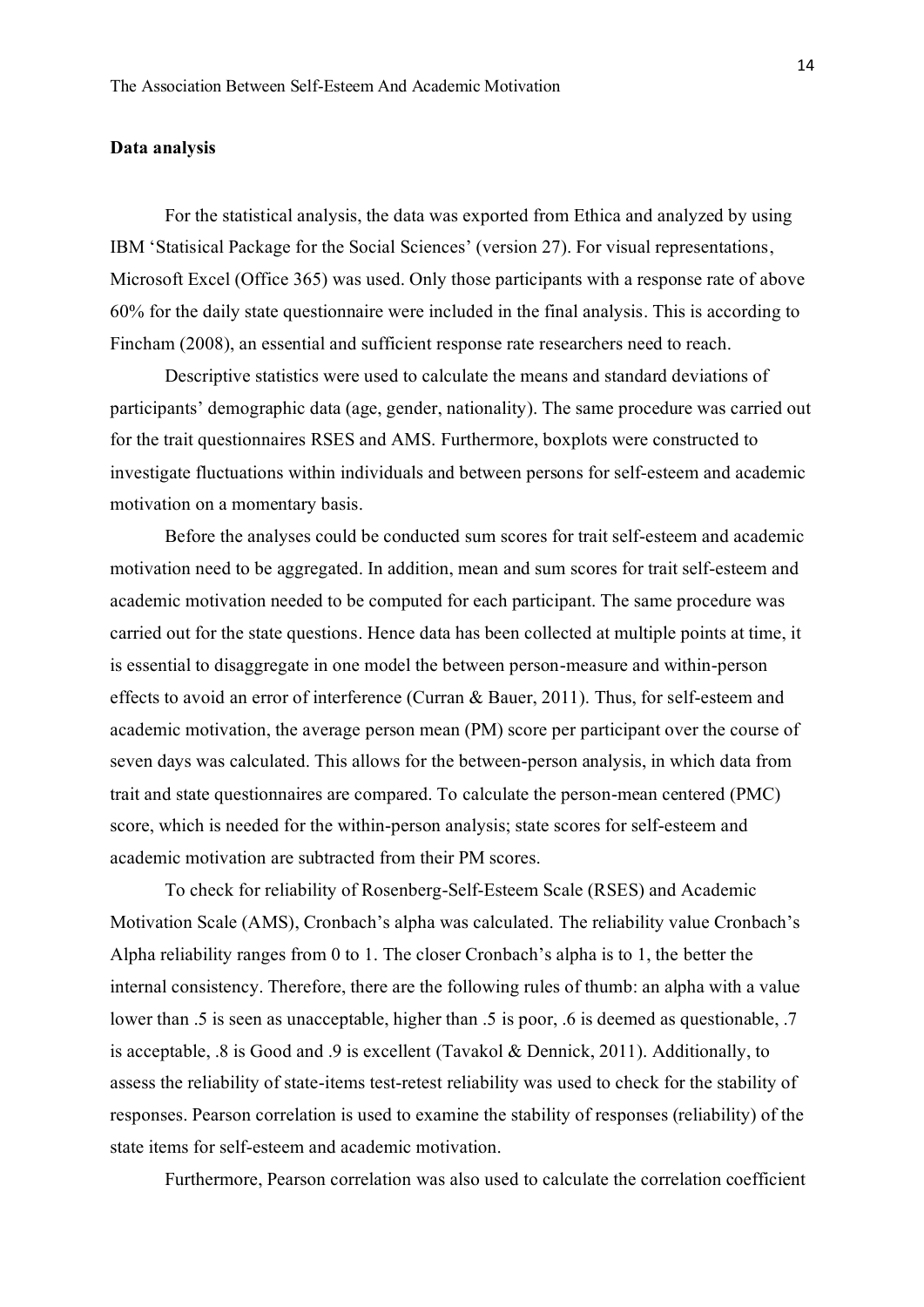# <span id="page-14-0"></span>**Data analysis**

For the statistical analysis, the data was exported from Ethica and analyzed by using IBM 'Statisical Package for the Social Sciences' (version 27). For visual representations, Microsoft Excel (Office 365) was used. Only those participants with a response rate of above 60% for the daily state questionnaire were included in the final analysis. This is according to Fincham (2008), an essential and sufficient response rate researchers need to reach.

Descriptive statistics were used to calculate the means and standard deviations of participants' demographic data (age, gender, nationality). The same procedure was carried out for the trait questionnaires RSES and AMS. Furthermore, boxplots were constructed to investigate fluctuations within individuals and between persons for self-esteem and academic motivation on a momentary basis.

Before the analyses could be conducted sum scores for trait self-esteem and academic motivation need to be aggregated. In addition, mean and sum scores for trait self-esteem and academic motivation needed to be computed for each participant. The same procedure was carried out for the state questions. Hence data has been collected at multiple points at time, it is essential to disaggregate in one model the between person-measure and within-person effects to avoid an error of interference (Curran & Bauer, 2011). Thus, for self-esteem and academic motivation, the average person mean (PM) score per participant over the course of seven days was calculated. This allows for the between-person analysis, in which data from trait and state questionnaires are compared. To calculate the person-mean centered (PMC) score, which is needed for the within-person analysis; state scores for self-esteem and academic motivation are subtracted from their PM scores.

To check for reliability of Rosenberg-Self-Esteem Scale (RSES) and Academic Motivation Scale (AMS), Cronbach's alpha was calculated. The reliability value Cronbach's Alpha reliability ranges from 0 to 1. The closer Cronbach's alpha is to 1, the better the internal consistency. Therefore, there are the following rules of thumb: an alpha with a value lower than .5 is seen as unacceptable, higher than .5 is poor, .6 is deemed as questionable, .7 is acceptable, .8 is Good and .9 is excellent (Tavakol & Dennick, 2011). Additionally, to assess the reliability of state-items test-retest reliability was used to check for the stability of responses. Pearson correlation is used to examine the stability of responses (reliability) of the state items for self-esteem and academic motivation.

Furthermore, Pearson correlation was also used to calculate the correlation coefficient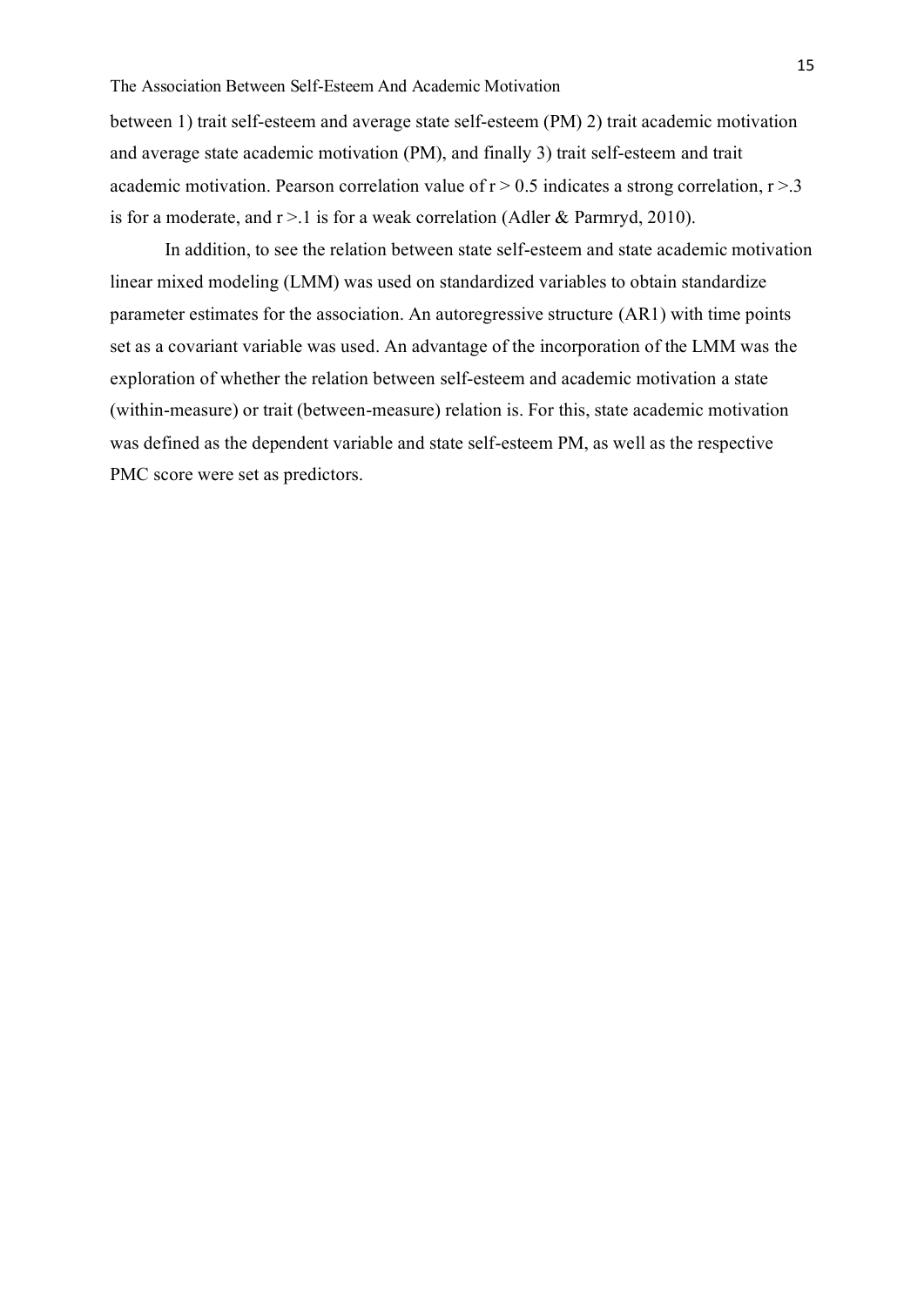between 1) trait self-esteem and average state self-esteem (PM) 2) trait academic motivation and average state academic motivation (PM), and finally 3) trait self-esteem and trait academic motivation. Pearson correlation value of  $r > 0.5$  indicates a strong correlation,  $r > 3$ is for a moderate, and  $r > 1$  is for a weak correlation (Adler & Parmryd, 2010).

In addition, to see the relation between state self-esteem and state academic motivation linear mixed modeling (LMM) was used on standardized variables to obtain standardize parameter estimates for the association. An autoregressive structure (AR1) with time points set as a covariant variable was used. An advantage of the incorporation of the LMM was the exploration of whether the relation between self-esteem and academic motivation a state (within-measure) or trait (between-measure) relation is. For this, state academic motivation was defined as the dependent variable and state self-esteem PM, as well as the respective PMC score were set as predictors.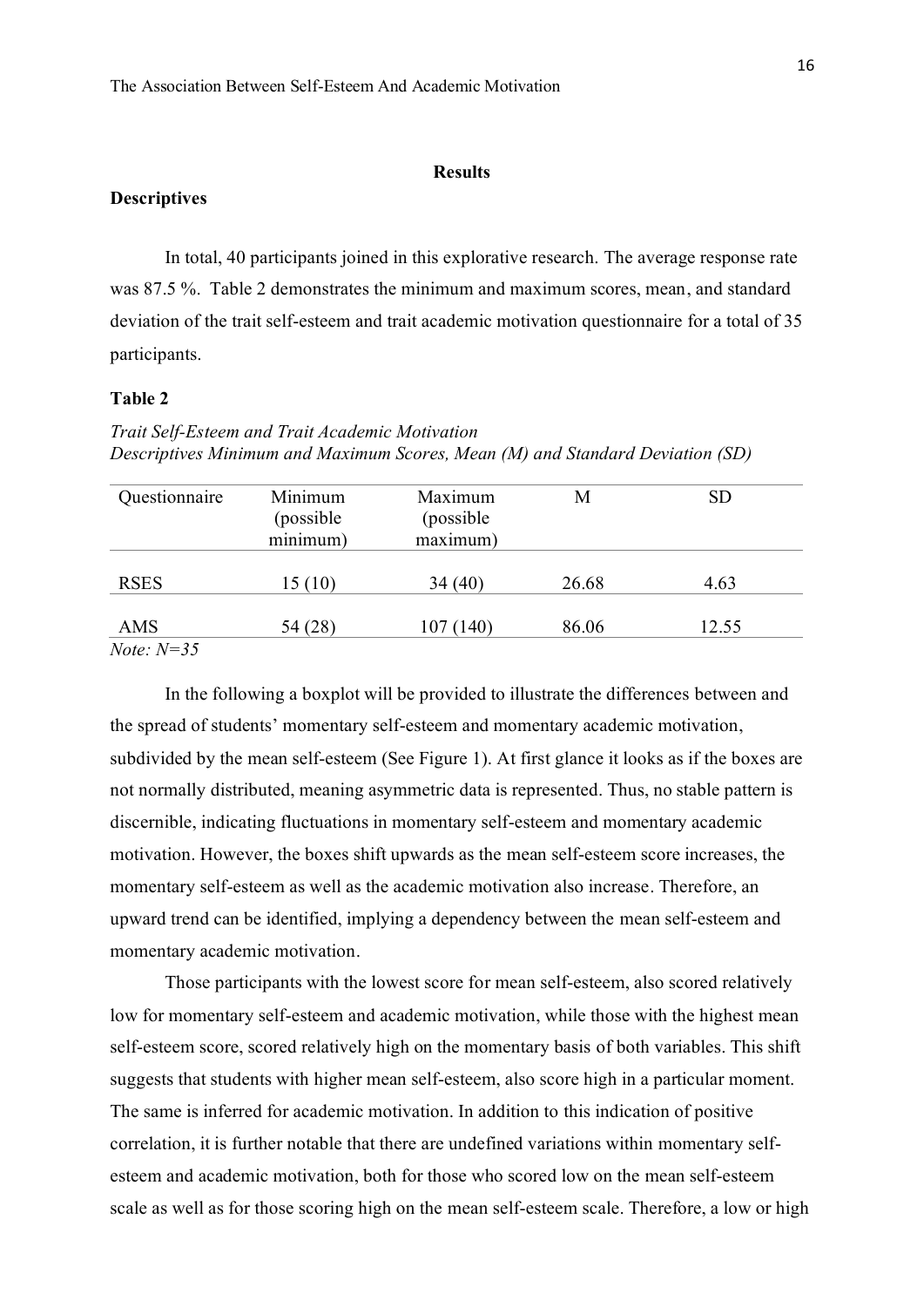## **Results**

# <span id="page-16-1"></span><span id="page-16-0"></span>**Descriptives**

In total, 40 participants joined in this explorative research. The average response rate was 87.5 %. Table 2 demonstrates the minimum and maximum scores, mean, and standard deviation of the trait self-esteem and trait academic motivation questionnaire for a total of 35 participants.

# **Table 2**

*Trait Self-Esteem and Trait Academic Motivation Descriptives Minimum and Maximum Scores, Mean (M) and Standard Deviation (SD)*

| Questionnaire       | Minimum<br>(possible)<br>minimum) | Maximum<br>(possible)<br>maximum) | М     | <b>SD</b> |
|---------------------|-----------------------------------|-----------------------------------|-------|-----------|
| <b>RSES</b>         | 15(10)                            | 34(40)                            | 26.68 | 4.63      |
| AMS                 | 54 (28)                           | 107(140)                          | 86.06 | 12.55     |
| <i>Note:</i> $N=35$ |                                   |                                   |       |           |

In the following a boxplot will be provided to illustrate the differences between and the spread of students' momentary self-esteem and momentary academic motivation, subdivided by the mean self-esteem (See Figure 1). At first glance it looks as if the boxes are not normally distributed, meaning asymmetric data is represented. Thus, no stable pattern is discernible, indicating fluctuations in momentary self-esteem and momentary academic motivation. However, the boxes shift upwards as the mean self-esteem score increases, the momentary self-esteem as well as the academic motivation also increase. Therefore, an upward trend can be identified, implying a dependency between the mean self-esteem and momentary academic motivation.

Those participants with the lowest score for mean self-esteem, also scored relatively low for momentary self-esteem and academic motivation, while those with the highest mean self-esteem score, scored relatively high on the momentary basis of both variables. This shift suggests that students with higher mean self-esteem, also score high in a particular moment. The same is inferred for academic motivation. In addition to this indication of positive correlation, it is further notable that there are undefined variations within momentary selfesteem and academic motivation, both for those who scored low on the mean self-esteem scale as well as for those scoring high on the mean self-esteem scale. Therefore, a low or high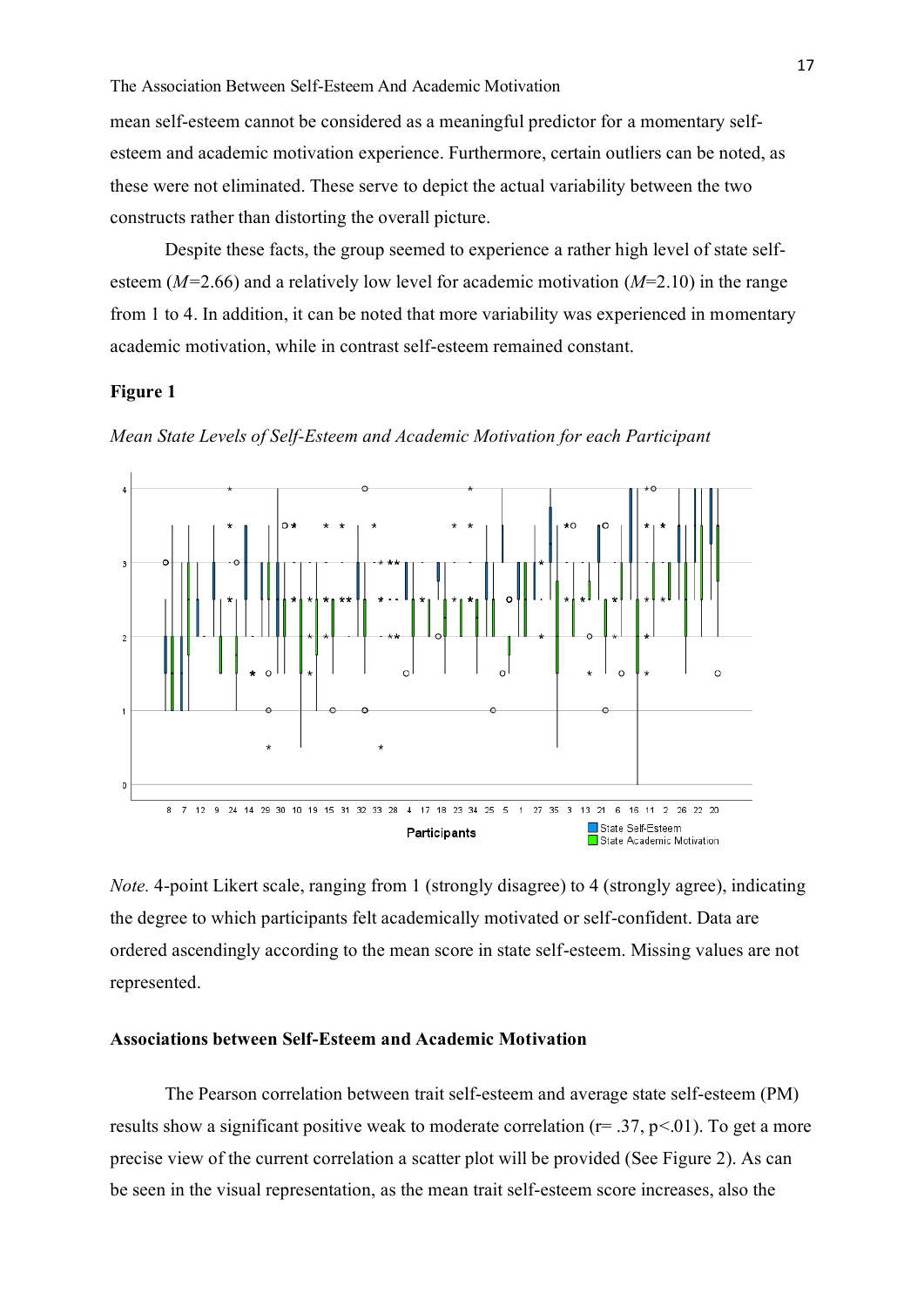mean self-esteem cannot be considered as a meaningful predictor for a momentary selfesteem and academic motivation experience. Furthermore, certain outliers can be noted, as these were not eliminated. These serve to depict the actual variability between the two constructs rather than distorting the overall picture.

Despite these facts, the group seemed to experience a rather high level of state selfesteem (*M=*2.66) and a relatively low level for academic motivation (*M*=2.10) in the range from 1 to 4. In addition, it can be noted that more variability was experienced in momentary academic motivation, while in contrast self-esteem remained constant.

## **Figure 1**

*Mean State Levels of Self-Esteem and Academic Motivation for each Participant* 



*Note.* 4-point Likert scale, ranging from 1 (strongly disagree) to 4 (strongly agree), indicating the degree to which participants felt academically motivated or self-confident. Data are ordered ascendingly according to the mean score in state self-esteem. Missing values are not represented.

## <span id="page-17-0"></span>**Associations between Self-Esteem and Academic Motivation**

The Pearson correlation between trait self-esteem and average state self-esteem (PM) results show a significant positive weak to moderate correlation ( $r = .37$ ,  $p < .01$ ). To get a more precise view of the current correlation a scatter plot will be provided (See Figure 2). As can be seen in the visual representation, as the mean trait self-esteem score increases, also the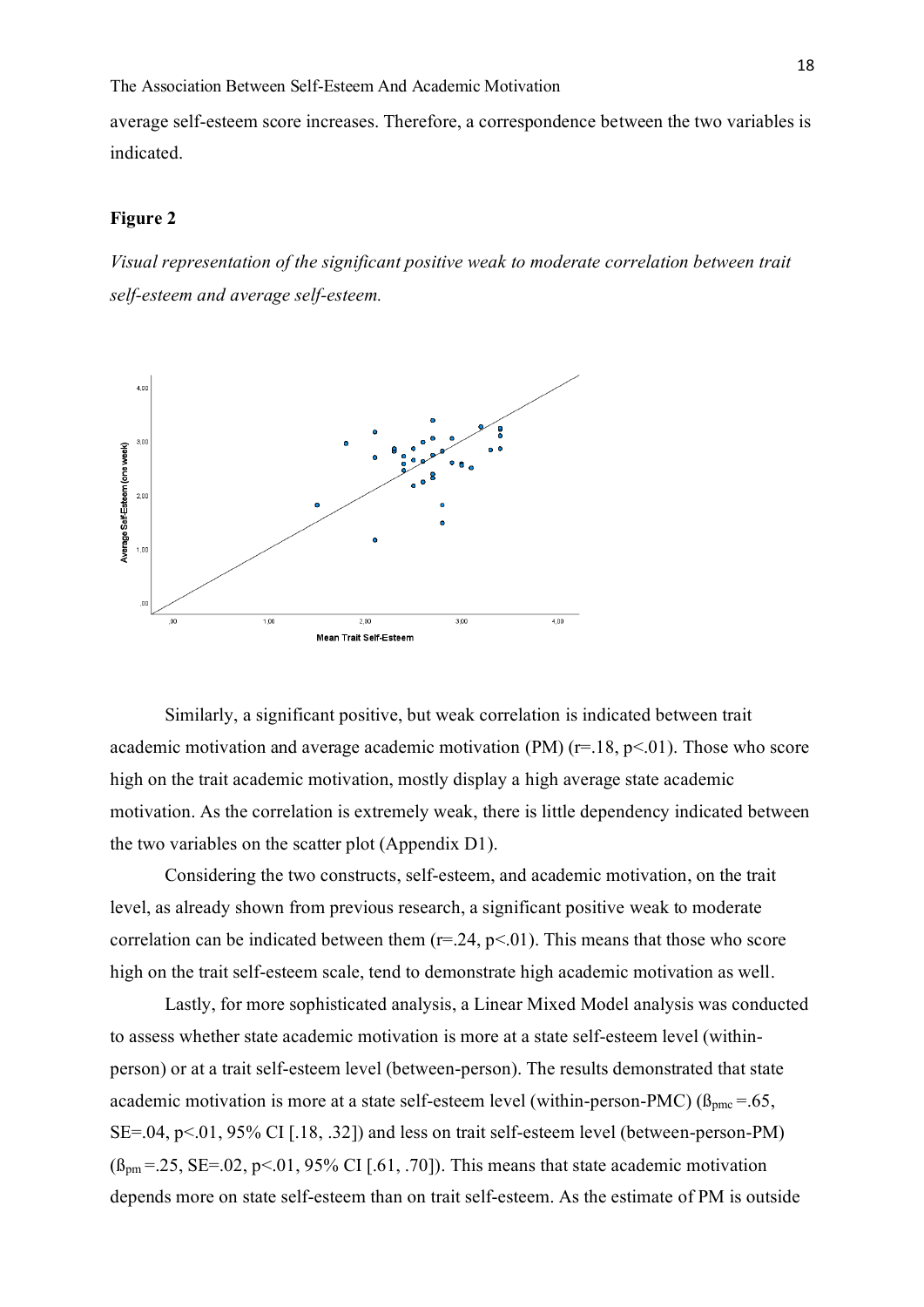average self-esteem score increases. Therefore, a correspondence between the two variables is indicated.

# **Figure 2**

*Visual representation of the significant positive weak to moderate correlation between trait self-esteem and average self-esteem.* 



Similarly, a significant positive, but weak correlation is indicated between trait academic motivation and average academic motivation (PM)  $(r=18, p<01)$ . Those who score high on the trait academic motivation, mostly display a high average state academic motivation. As the correlation is extremely weak, there is little dependency indicated between the two variables on the scatter plot (Appendix D1).

Considering the two constructs, self-esteem, and academic motivation, on the trait level, as already shown from previous research, a significant positive weak to moderate correlation can be indicated between them  $(r=.24, p<.01)$ . This means that those who score high on the trait self-esteem scale, tend to demonstrate high academic motivation as well.

Lastly, for more sophisticated analysis, a Linear Mixed Model analysis was conducted to assess whether state academic motivation is more at a state self-esteem level (withinperson) or at a trait self-esteem level (between-person). The results demonstrated that state academic motivation is more at a state self-esteem level (within-person-PMC) ( $\beta_{\text{pmc}}$ =.65, SE=.04, p<.01, 95% CI [.18, .32]) and less on trait self-esteem level (between-person-PM)  $(\beta_{pm} = .25, SE = .02, p < .01, 95\% \text{ CI}$  [.61, .70]). This means that state academic motivation depends more on state self-esteem than on trait self-esteem. As the estimate of PM is outside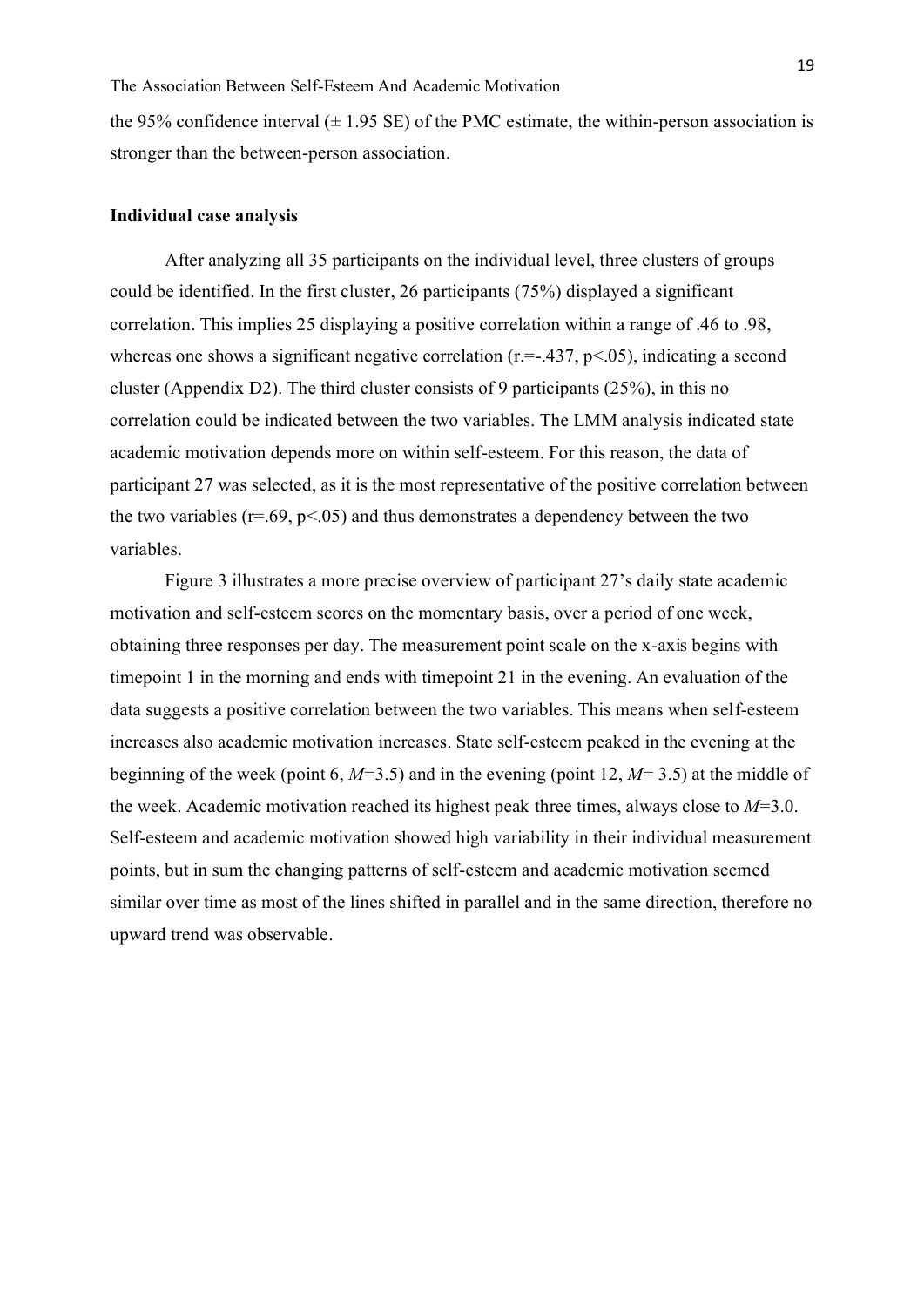the 95% confidence interval  $(\pm 1.95 \text{ SE})$  of the PMC estimate, the within-person association is stronger than the between-person association.

# <span id="page-19-0"></span>**Individual case analysis**

After analyzing all 35 participants on the individual level, three clusters of groups could be identified. In the first cluster, 26 participants (75%) displayed a significant correlation. This implies 25 displaying a positive correlation within a range of .46 to .98, whereas one shows a significant negative correlation ( $r = -437$ ,  $p < 05$ ), indicating a second cluster (Appendix D2). The third cluster consists of 9 participants (25%), in this no correlation could be indicated between the two variables. The LMM analysis indicated state academic motivation depends more on within self-esteem. For this reason, the data of participant 27 was selected, as it is the most representative of the positive correlation between the two variables ( $r=.69$ ,  $p<.05$ ) and thus demonstrates a dependency between the two variables.

Figure 3 illustrates a more precise overview of participant 27's daily state academic motivation and self-esteem scores on the momentary basis, over a period of one week, obtaining three responses per day. The measurement point scale on the x-axis begins with timepoint 1 in the morning and ends with timepoint 21 in the evening. An evaluation of the data suggests a positive correlation between the two variables. This means when self-esteem increases also academic motivation increases. State self-esteem peaked in the evening at the beginning of the week (point 6, *M*=3.5) and in the evening (point 12, *M*= 3.5) at the middle of the week. Academic motivation reached its highest peak three times, always close to *M*=3.0. Self-esteem and academic motivation showed high variability in their individual measurement points, but in sum the changing patterns of self-esteem and academic motivation seemed similar over time as most of the lines shifted in parallel and in the same direction, therefore no upward trend was observable.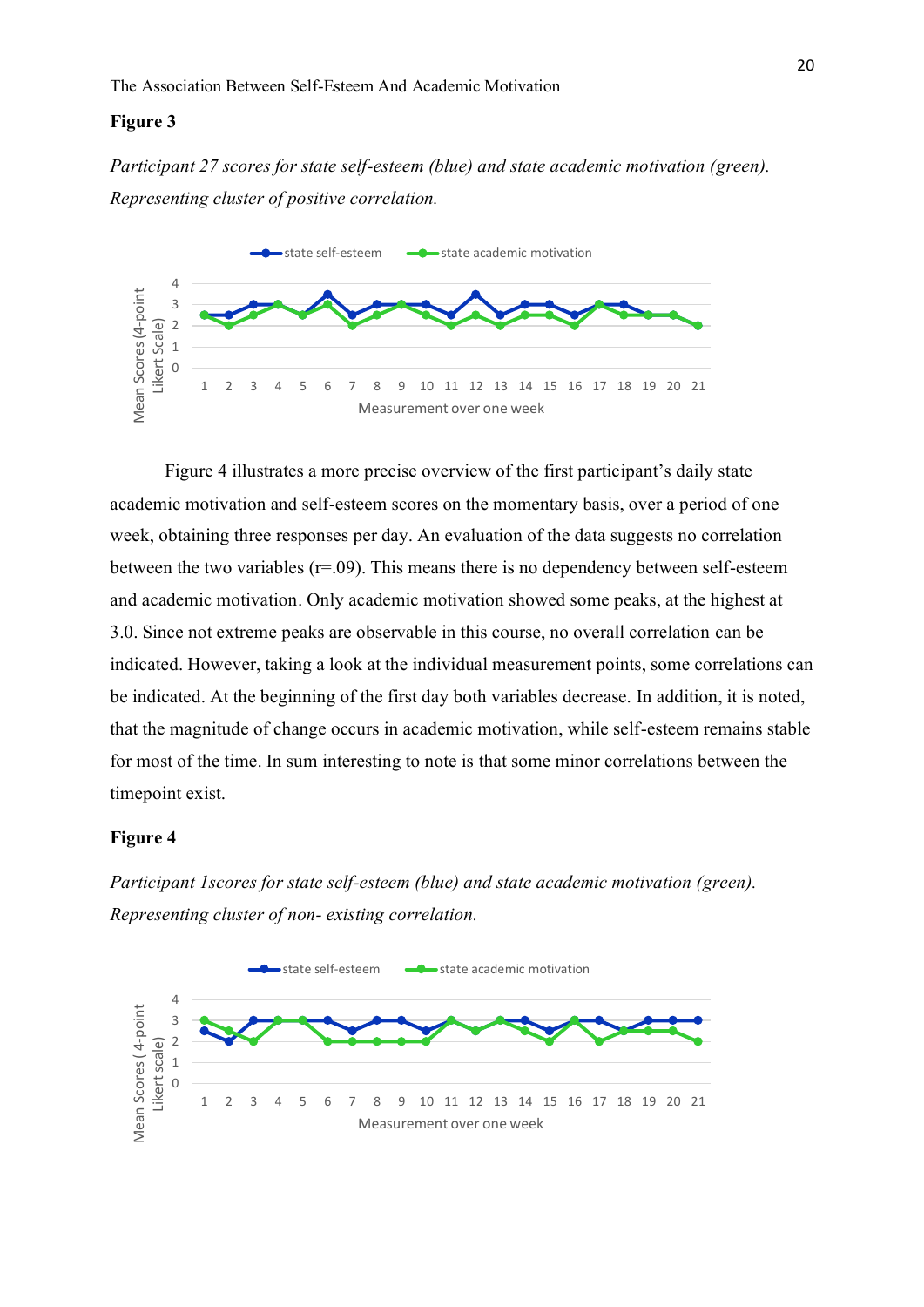#### **Figure 3**

*Participant 27 scores for state self-esteem (blue) and state academic motivation (green). Representing cluster of positive correlation.* 



Figure 4 illustrates a more precise overview of the first participant's daily state academic motivation and self-esteem scores on the momentary basis, over a period of one week, obtaining three responses per day. An evaluation of the data suggests no correlation between the two variables  $(r=.09)$ . This means there is no dependency between self-esteem and academic motivation. Only academic motivation showed some peaks, at the highest at 3.0. Since not extreme peaks are observable in this course, no overall correlation can be indicated. However, taking a look at the individual measurement points, some correlations can be indicated. At the beginning of the first day both variables decrease. In addition, it is noted, that the magnitude of change occurs in academic motivation, while self-esteem remains stable for most of the time. In sum interesting to note is that some minor correlations between the timepoint exist.

# **Figure 4**

*Participant 1scores for state self-esteem (blue) and state academic motivation (green). Representing cluster of non- existing correlation.* 

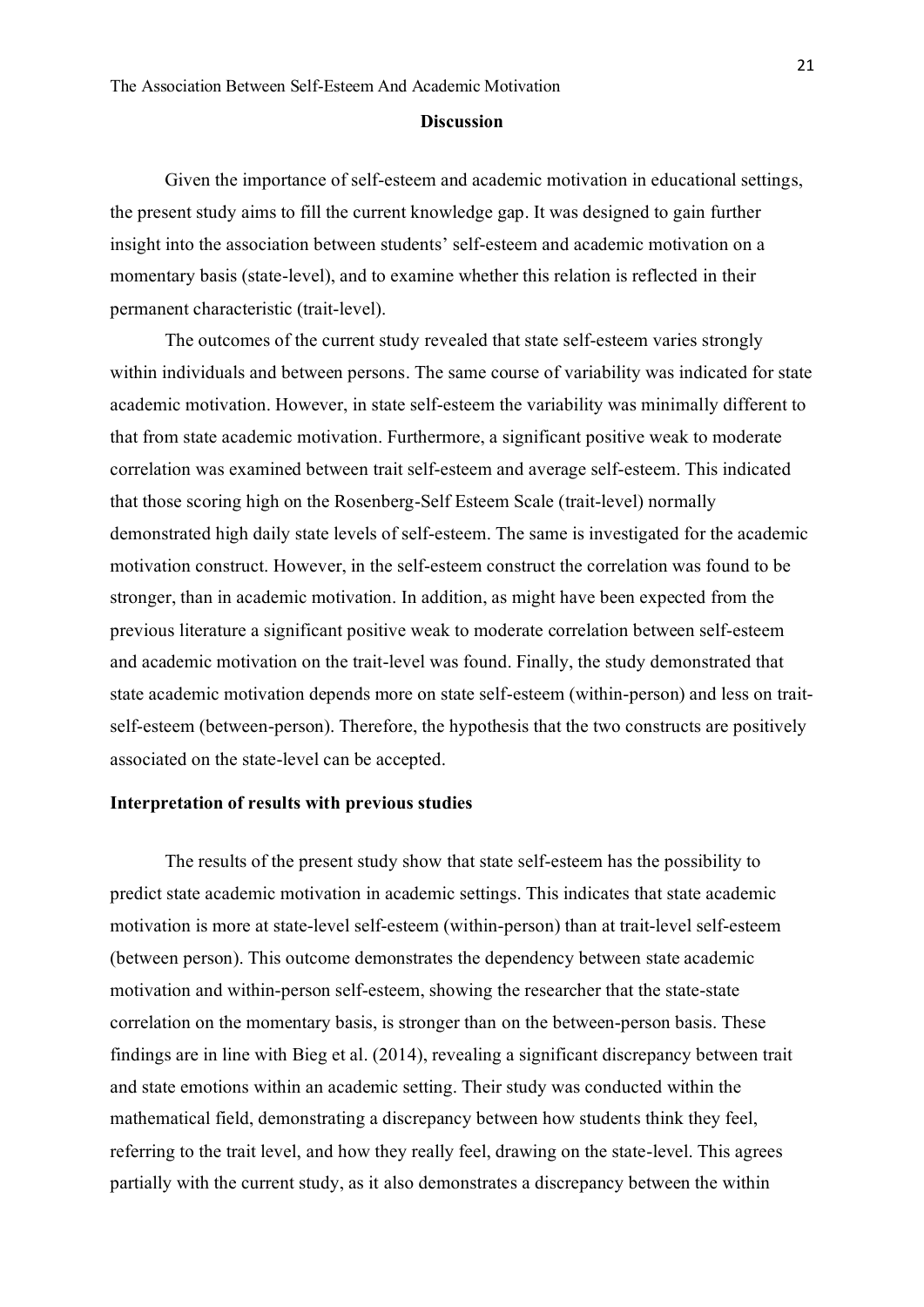#### **Discussion**

<span id="page-21-0"></span>Given the importance of self-esteem and academic motivation in educational settings, the present study aims to fill the current knowledge gap. It was designed to gain further insight into the association between students' self-esteem and academic motivation on a momentary basis (state-level), and to examine whether this relation is reflected in their permanent characteristic (trait-level).

The outcomes of the current study revealed that state self-esteem varies strongly within individuals and between persons. The same course of variability was indicated for state academic motivation. However, in state self-esteem the variability was minimally different to that from state academic motivation. Furthermore, a significant positive weak to moderate correlation was examined between trait self-esteem and average self-esteem. This indicated that those scoring high on the Rosenberg-Self Esteem Scale (trait-level) normally demonstrated high daily state levels of self-esteem. The same is investigated for the academic motivation construct. However, in the self-esteem construct the correlation was found to be stronger, than in academic motivation. In addition, as might have been expected from the previous literature a significant positive weak to moderate correlation between self-esteem and academic motivation on the trait-level was found. Finally, the study demonstrated that state academic motivation depends more on state self-esteem (within-person) and less on traitself-esteem (between-person). Therefore, the hypothesis that the two constructs are positively associated on the state-level can be accepted.

## <span id="page-21-1"></span>**Interpretation of results with previous studies**

The results of the present study show that state self-esteem has the possibility to predict state academic motivation in academic settings. This indicates that state academic motivation is more at state-level self-esteem (within-person) than at trait-level self-esteem (between person). This outcome demonstrates the dependency between state academic motivation and within-person self-esteem, showing the researcher that the state-state correlation on the momentary basis, is stronger than on the between-person basis. These findings are in line with Bieg et al. (2014), revealing a significant discrepancy between trait and state emotions within an academic setting. Their study was conducted within the mathematical field, demonstrating a discrepancy between how students think they feel, referring to the trait level, and how they really feel, drawing on the state-level. This agrees partially with the current study, as it also demonstrates a discrepancy between the within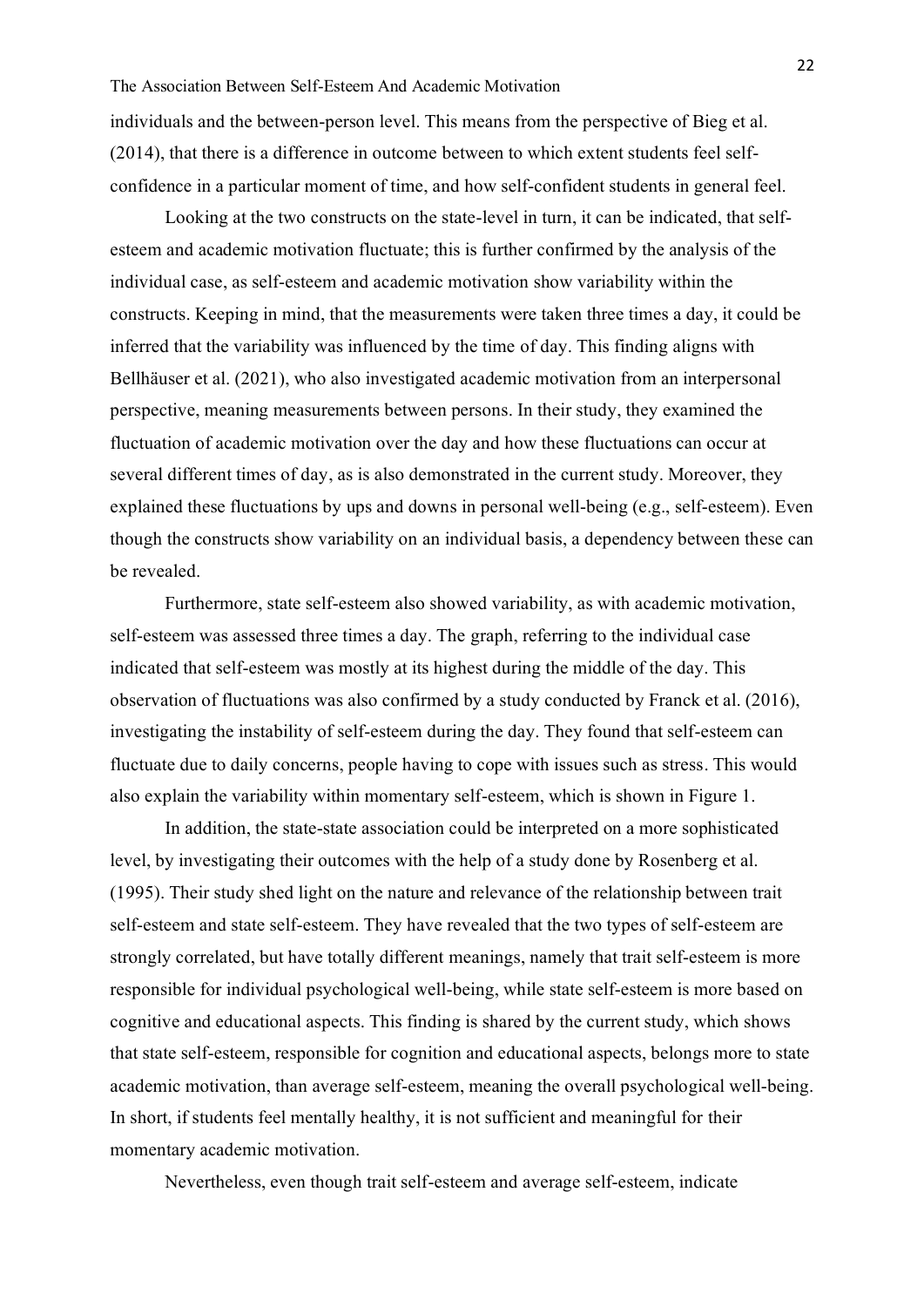individuals and the between-person level. This means from the perspective of Bieg et al. (2014), that there is a difference in outcome between to which extent students feel selfconfidence in a particular moment of time, and how self-confident students in general feel.

Looking at the two constructs on the state-level in turn, it can be indicated, that selfesteem and academic motivation fluctuate; this is further confirmed by the analysis of the individual case, as self-esteem and academic motivation show variability within the constructs. Keeping in mind, that the measurements were taken three times a day, it could be inferred that the variability was influenced by the time of day. This finding aligns with Bellhäuser et al. (2021), who also investigated academic motivation from an interpersonal perspective, meaning measurements between persons. In their study, they examined the fluctuation of academic motivation over the day and how these fluctuations can occur at several different times of day, as is also demonstrated in the current study. Moreover, they explained these fluctuations by ups and downs in personal well-being (e.g., self-esteem). Even though the constructs show variability on an individual basis, a dependency between these can be revealed.

Furthermore, state self-esteem also showed variability, as with academic motivation, self-esteem was assessed three times a day. The graph, referring to the individual case indicated that self-esteem was mostly at its highest during the middle of the day. This observation of fluctuations was also confirmed by a study conducted by Franck et al. (2016), investigating the instability of self-esteem during the day. They found that self-esteem can fluctuate due to daily concerns, people having to cope with issues such as stress. This would also explain the variability within momentary self-esteem, which is shown in Figure 1.

In addition, the state-state association could be interpreted on a more sophisticated level, by investigating their outcomes with the help of a study done by Rosenberg et al. (1995). Their study shed light on the nature and relevance of the relationship between trait self-esteem and state self-esteem. They have revealed that the two types of self-esteem are strongly correlated, but have totally different meanings, namely that trait self-esteem is more responsible for individual psychological well-being, while state self-esteem is more based on cognitive and educational aspects. This finding is shared by the current study, which shows that state self-esteem, responsible for cognition and educational aspects, belongs more to state academic motivation, than average self-esteem, meaning the overall psychological well-being. In short, if students feel mentally healthy, it is not sufficient and meaningful for their momentary academic motivation.

Nevertheless, even though trait self-esteem and average self-esteem, indicate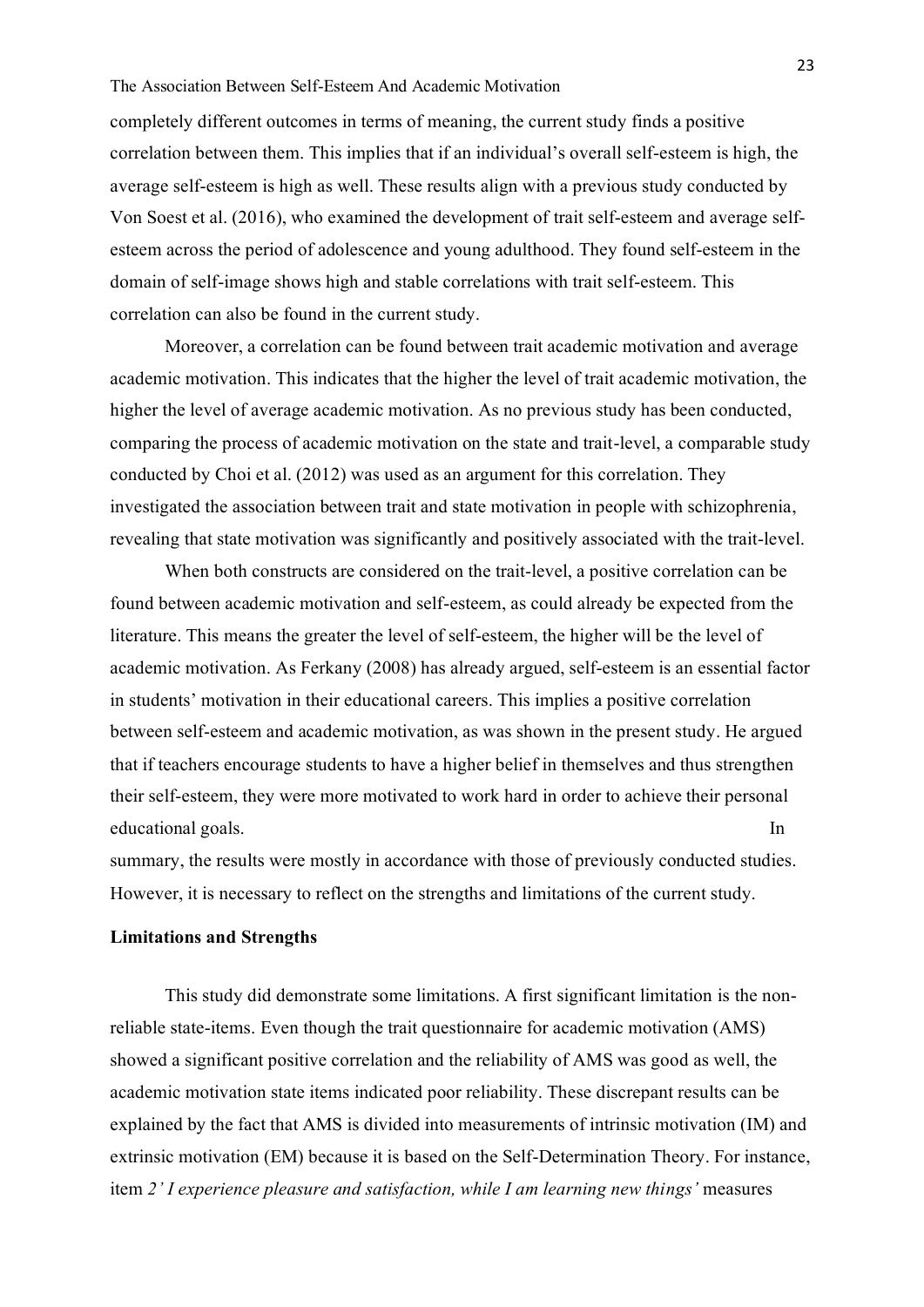## The Association Between Self-Esteem And Academic Motivation

completely different outcomes in terms of meaning, the current study finds a positive correlation between them. This implies that if an individual's overall self-esteem is high, the average self-esteem is high as well. These results align with a previous study conducted by Von Soest et al. (2016), who examined the development of trait self-esteem and average selfesteem across the period of adolescence and young adulthood. They found self-esteem in the domain of self-image shows high and stable correlations with trait self-esteem. This correlation can also be found in the current study.

Moreover, a correlation can be found between trait academic motivation and average academic motivation. This indicates that the higher the level of trait academic motivation, the higher the level of average academic motivation. As no previous study has been conducted, comparing the process of academic motivation on the state and trait-level, a comparable study conducted by Choi et al. (2012) was used as an argument for this correlation. They investigated the association between trait and state motivation in people with schizophrenia, revealing that state motivation was significantly and positively associated with the trait-level.

When both constructs are considered on the trait-level, a positive correlation can be found between academic motivation and self-esteem, as could already be expected from the literature. This means the greater the level of self-esteem, the higher will be the level of academic motivation. As Ferkany (2008) has already argued, self-esteem is an essential factor in students' motivation in their educational careers. This implies a positive correlation between self-esteem and academic motivation, as was shown in the present study. He argued that if teachers encourage students to have a higher belief in themselves and thus strengthen their self-esteem, they were more motivated to work hard in order to achieve their personal educational goals. In

summary, the results were mostly in accordance with those of previously conducted studies. However, it is necessary to reflect on the strengths and limitations of the current study.

## <span id="page-23-0"></span>**Limitations and Strengths**

This study did demonstrate some limitations. A first significant limitation is the nonreliable state-items. Even though the trait questionnaire for academic motivation (AMS) showed a significant positive correlation and the reliability of AMS was good as well, the academic motivation state items indicated poor reliability. These discrepant results can be explained by the fact that AMS is divided into measurements of intrinsic motivation (IM) and extrinsic motivation (EM) because it is based on the Self-Determination Theory. For instance, item *2' I experience pleasure and satisfaction, while I am learning new things'* measures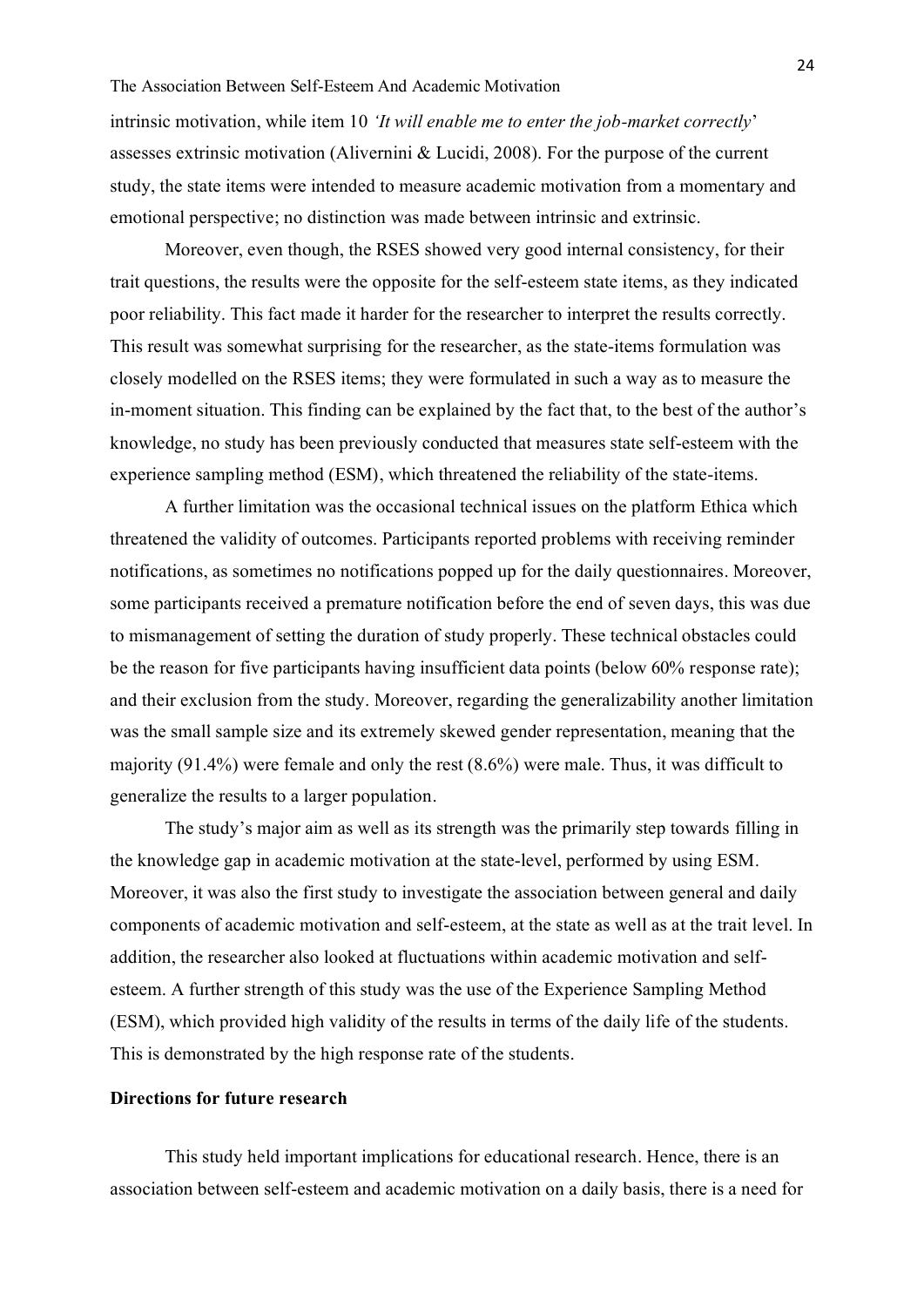intrinsic motivation, while item 10 *'It will enable me to enter the job-market correctly*' assesses extrinsic motivation (Alivernini & Lucidi, 2008). For the purpose of the current study, the state items were intended to measure academic motivation from a momentary and emotional perspective; no distinction was made between intrinsic and extrinsic.

Moreover, even though, the RSES showed very good internal consistency, for their trait questions, the results were the opposite for the self-esteem state items, as they indicated poor reliability. This fact made it harder for the researcher to interpret the results correctly. This result was somewhat surprising for the researcher, as the state-items formulation was closely modelled on the RSES items; they were formulated in such a way as to measure the in-moment situation. This finding can be explained by the fact that, to the best of the author's knowledge, no study has been previously conducted that measures state self-esteem with the experience sampling method (ESM), which threatened the reliability of the state-items.

A further limitation was the occasional technical issues on the platform Ethica which threatened the validity of outcomes. Participants reported problems with receiving reminder notifications, as sometimes no notifications popped up for the daily questionnaires. Moreover, some participants received a premature notification before the end of seven days, this was due to mismanagement of setting the duration of study properly. These technical obstacles could be the reason for five participants having insufficient data points (below 60% response rate); and their exclusion from the study. Moreover, regarding the generalizability another limitation was the small sample size and its extremely skewed gender representation, meaning that the majority (91.4%) were female and only the rest (8.6%) were male. Thus, it was difficult to generalize the results to a larger population.

The study's major aim as well as its strength was the primarily step towards filling in the knowledge gap in academic motivation at the state-level, performed by using ESM. Moreover, it was also the first study to investigate the association between general and daily components of academic motivation and self-esteem, at the state as well as at the trait level. In addition, the researcher also looked at fluctuations within academic motivation and selfesteem. A further strength of this study was the use of the Experience Sampling Method (ESM), which provided high validity of the results in terms of the daily life of the students. This is demonstrated by the high response rate of the students.

# <span id="page-24-0"></span>**Directions for future research**

This study held important implications for educational research. Hence, there is an association between self-esteem and academic motivation on a daily basis, there is a need for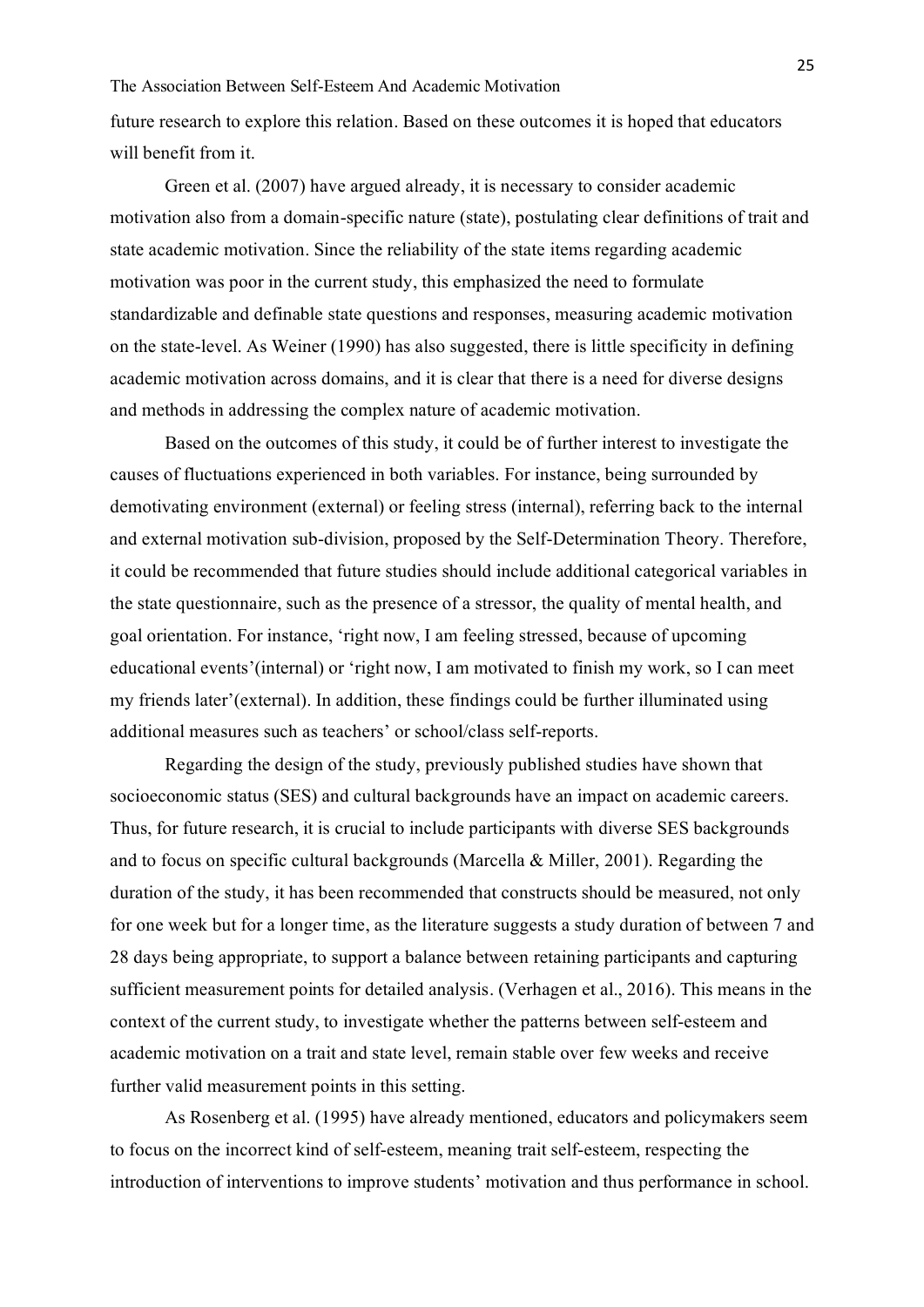future research to explore this relation. Based on these outcomes it is hoped that educators will benefit from it.

Green et al. (2007) have argued already, it is necessary to consider academic motivation also from a domain-specific nature (state), postulating clear definitions of trait and state academic motivation. Since the reliability of the state items regarding academic motivation was poor in the current study, this emphasized the need to formulate standardizable and definable state questions and responses, measuring academic motivation on the state-level. As Weiner (1990) has also suggested, there is little specificity in defining academic motivation across domains, and it is clear that there is a need for diverse designs and methods in addressing the complex nature of academic motivation.

Based on the outcomes of this study, it could be of further interest to investigate the causes of fluctuations experienced in both variables. For instance, being surrounded by demotivating environment (external) or feeling stress (internal), referring back to the internal and external motivation sub-division, proposed by the Self-Determination Theory. Therefore, it could be recommended that future studies should include additional categorical variables in the state questionnaire, such as the presence of a stressor, the quality of mental health, and goal orientation. For instance, 'right now, I am feeling stressed, because of upcoming educational events'(internal) or 'right now, I am motivated to finish my work, so I can meet my friends later'(external). In addition, these findings could be further illuminated using additional measures such as teachers' or school/class self-reports.

Regarding the design of the study, previously published studies have shown that socioeconomic status (SES) and cultural backgrounds have an impact on academic careers. Thus, for future research, it is crucial to include participants with diverse SES backgrounds and to focus on specific cultural backgrounds (Marcella & Miller, 2001). Regarding the duration of the study, it has been recommended that constructs should be measured, not only for one week but for a longer time, as the literature suggests a study duration of between 7 and 28 days being appropriate, to support a balance between retaining participants and capturing sufficient measurement points for detailed analysis. (Verhagen et al., 2016). This means in the context of the current study, to investigate whether the patterns between self-esteem and academic motivation on a trait and state level, remain stable over few weeks and receive further valid measurement points in this setting.

As Rosenberg et al. (1995) have already mentioned, educators and policymakers seem to focus on the incorrect kind of self-esteem, meaning trait self-esteem, respecting the introduction of interventions to improve students' motivation and thus performance in school.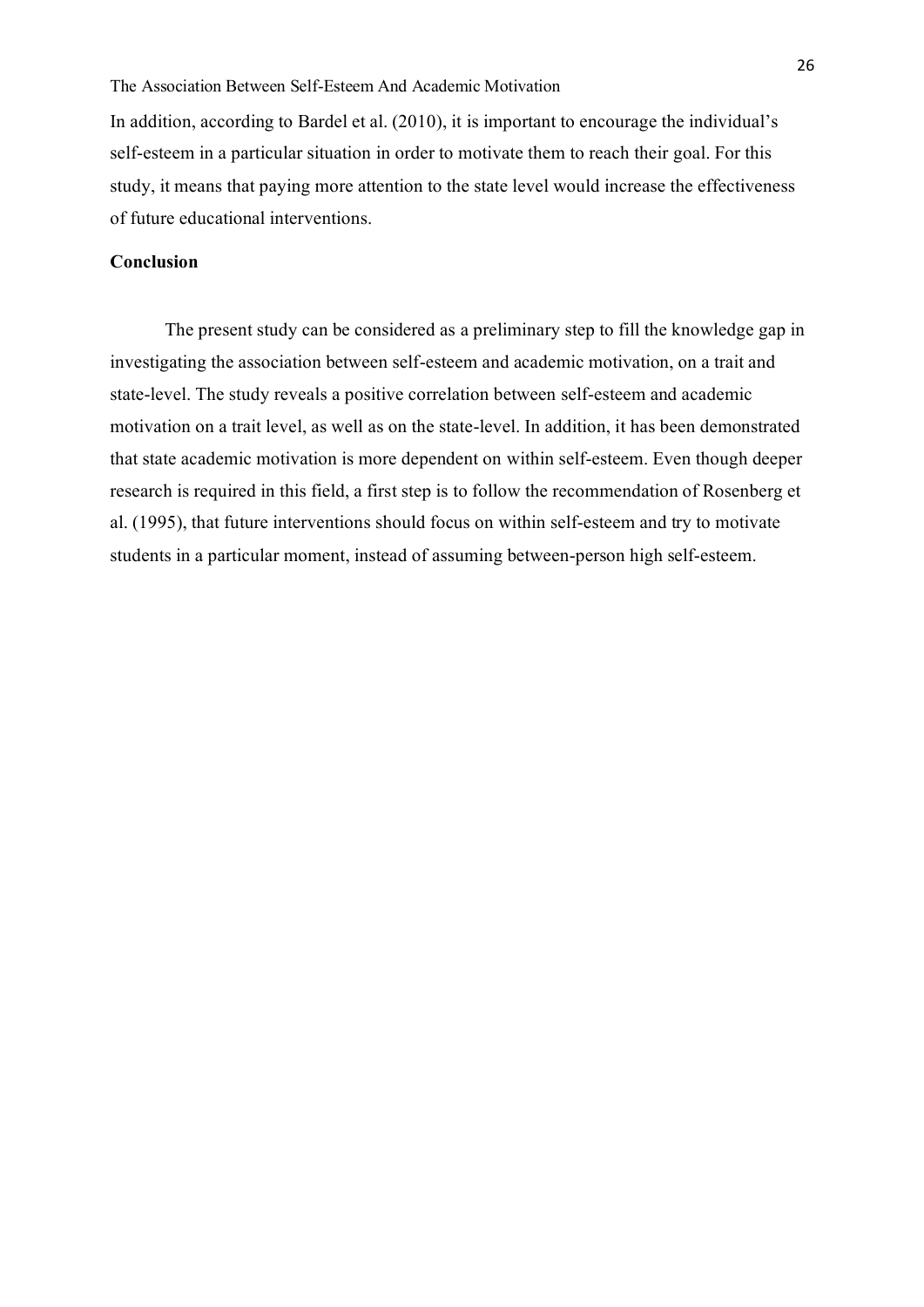## The Association Between Self-Esteem And Academic Motivation

In addition, according to Bardel et al. (2010), it is important to encourage the individual's self-esteem in a particular situation in order to motivate them to reach their goal. For this study, it means that paying more attention to the state level would increase the effectiveness of future educational interventions.

# <span id="page-26-0"></span>**Conclusion**

The present study can be considered as a preliminary step to fill the knowledge gap in investigating the association between self-esteem and academic motivation, on a trait and state-level. The study reveals a positive correlation between self-esteem and academic motivation on a trait level, as well as on the state-level. In addition, it has been demonstrated that state academic motivation is more dependent on within self-esteem. Even though deeper research is required in this field, a first step is to follow the recommendation of Rosenberg et al. (1995), that future interventions should focus on within self-esteem and try to motivate students in a particular moment, instead of assuming between-person high self-esteem.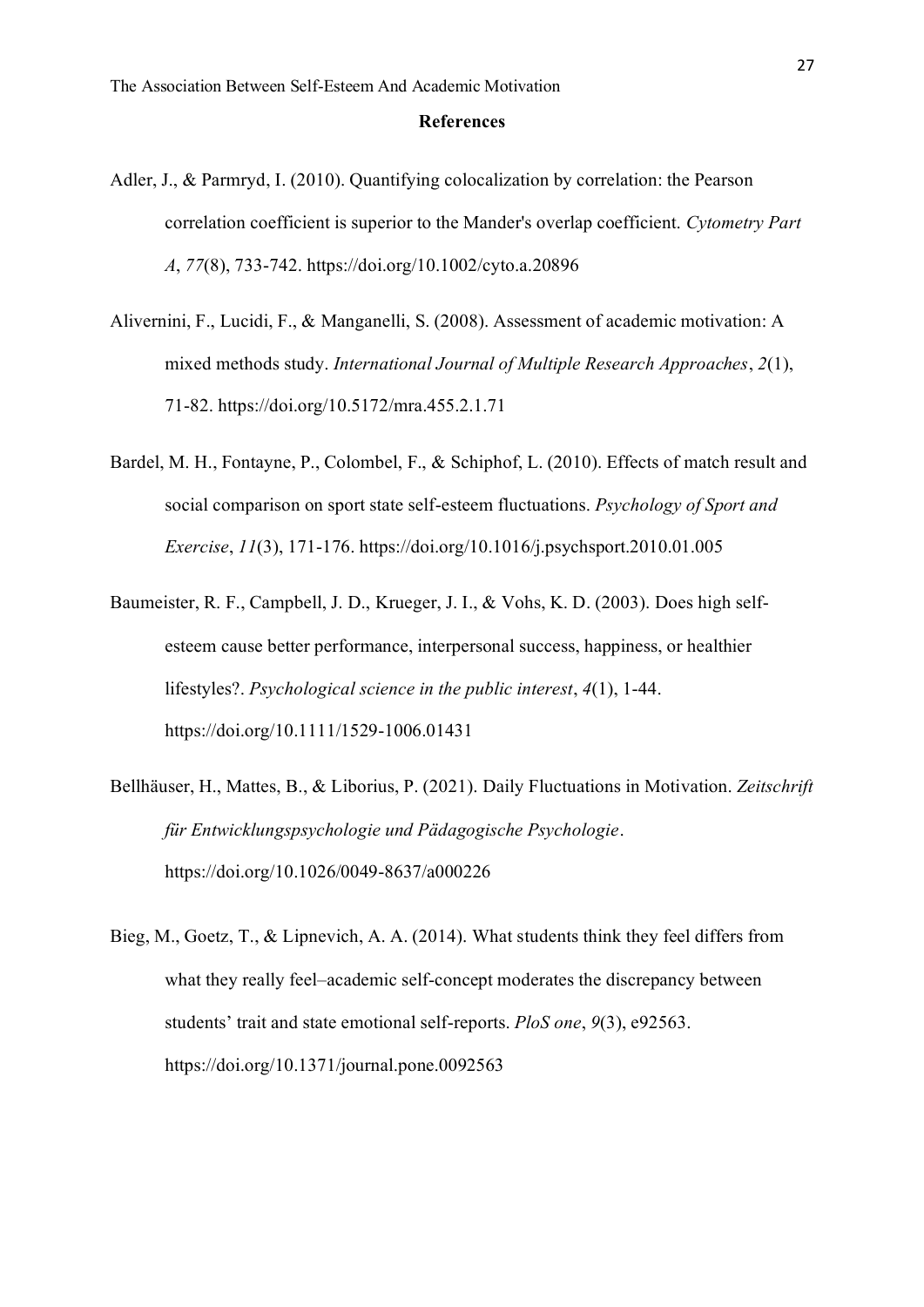#### **References**

- <span id="page-27-0"></span>Adler, J., & Parmryd, I. (2010). Quantifying colocalization by correlation: the Pearson correlation coefficient is superior to the Mander's overlap coefficient. *Cytometry Part A*, *77*(8), 733-742.<https://doi.org/10.1002/cyto.a.20896>
- Alivernini, F., Lucidi, F., & Manganelli, S. (2008). Assessment of academic motivation: A mixed methods study. *International Journal of Multiple Research Approaches*, *2*(1), 71-82. <https://doi.org/10.5172/mra.455.2.1.71>
- Bardel, M. H., Fontayne, P., Colombel, F., & Schiphof, L. (2010). Effects of match result and social comparison on sport state self-esteem fluctuations. *Psychology of Sport and Exercise*, *11*(3), 171-176.<https://doi.org/10.1016/j.psychsport.2010.01.005>
- Baumeister, R. F., Campbell, J. D., Krueger, J. I., & Vohs, K. D. (2003). Does high selfesteem cause better performance, interpersonal success, happiness, or healthier lifestyles?. *Psychological science in the public interest*, *4*(1), 1-44. [https://doi.org/10.1111/1529-1006.01431](https://doi.org/10.1111%2F1529-1006.01431)
- Bellhäuser, H., Mattes, B., & Liborius, P. (2021). Daily Fluctuations in Motivation. *Zeitschrift für Entwicklungspsychologie und Pädagogische Psychologie*. <https://doi.org/10.1026/0049-8637/a000226>
- Bieg, M., Goetz, T., & Lipnevich, A. A. (2014). What students think they feel differs from what they really feel–academic self-concept moderates the discrepancy between students' trait and state emotional self-reports. *PloS one*, *9*(3), e92563. <https://doi.org/10.1371/journal.pone.0092563>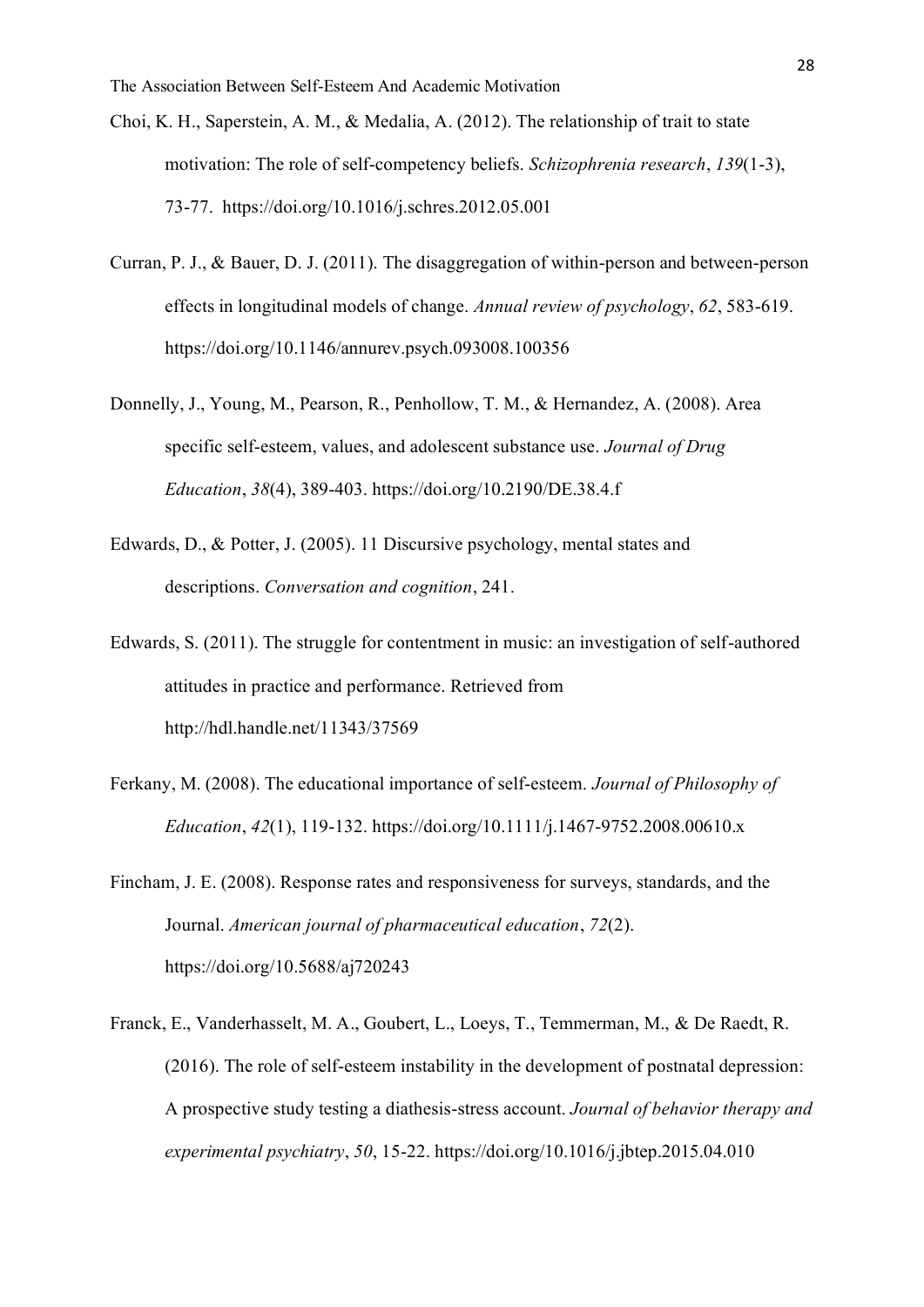- Choi, K. H., Saperstein, A. M., & Medalia, A. (2012). The relationship of trait to state motivation: The role of self‐competency beliefs. *Schizophrenia research*, *139*(1-3), 73-77. <https://doi.org/10.1016/j.schres.2012.05.001>
- Curran, P. J., & Bauer, D. J. (2011). The disaggregation of within-person and between-person effects in longitudinal models of change. *Annual review of psychology*, *62*, 583-619. <https://doi.org/10.1146/annurev.psych.093008.100356>
- Donnelly, J., Young, M., Pearson, R., Penhollow, T. M., & Hernandez, A. (2008). Area specific self-esteem, values, and adolescent substance use. *Journal of Drug Education*, *38*(4), 389-403[. https://doi.org/10.2190/DE.38.4.f](https://doi.org/10.2190%2FDE.38.4.f)
- Edwards, D., & Potter, J. (2005). 11 Discursive psychology, mental states and descriptions. *Conversation and cognition*, 241.
- Edwards, S. (2011). The struggle for contentment in music: an investigation of self-authored attitudes in practice and performance. Retrieved from http://hdl.handle.net/11343/37569
- Ferkany, M. (2008). The educational importance of self‐esteem. *Journal of Philosophy of Education*, *42*(1), 119-132[. https://doi.org/10.1111/j.1467-9752.2008.00610.x](https://doi.org/10.1111/j.1467-9752.2008.00610.x)
- Fincham, J. E. (2008). Response rates and responsiveness for surveys, standards, and the Journal. *American journal of pharmaceutical education*, *72*(2). https://doi.org/10.5688/aj720243
- Franck, E., Vanderhasselt, M. A., Goubert, L., Loeys, T., Temmerman, M., & De Raedt, R. (2016). The role of self-esteem instability in the development of postnatal depression: A prospective study testing a diathesis-stress account. *Journal of behavior therapy and experimental psychiatry*, *50*, 15-22.<https://doi.org/10.1016/j.jbtep.2015.04.010>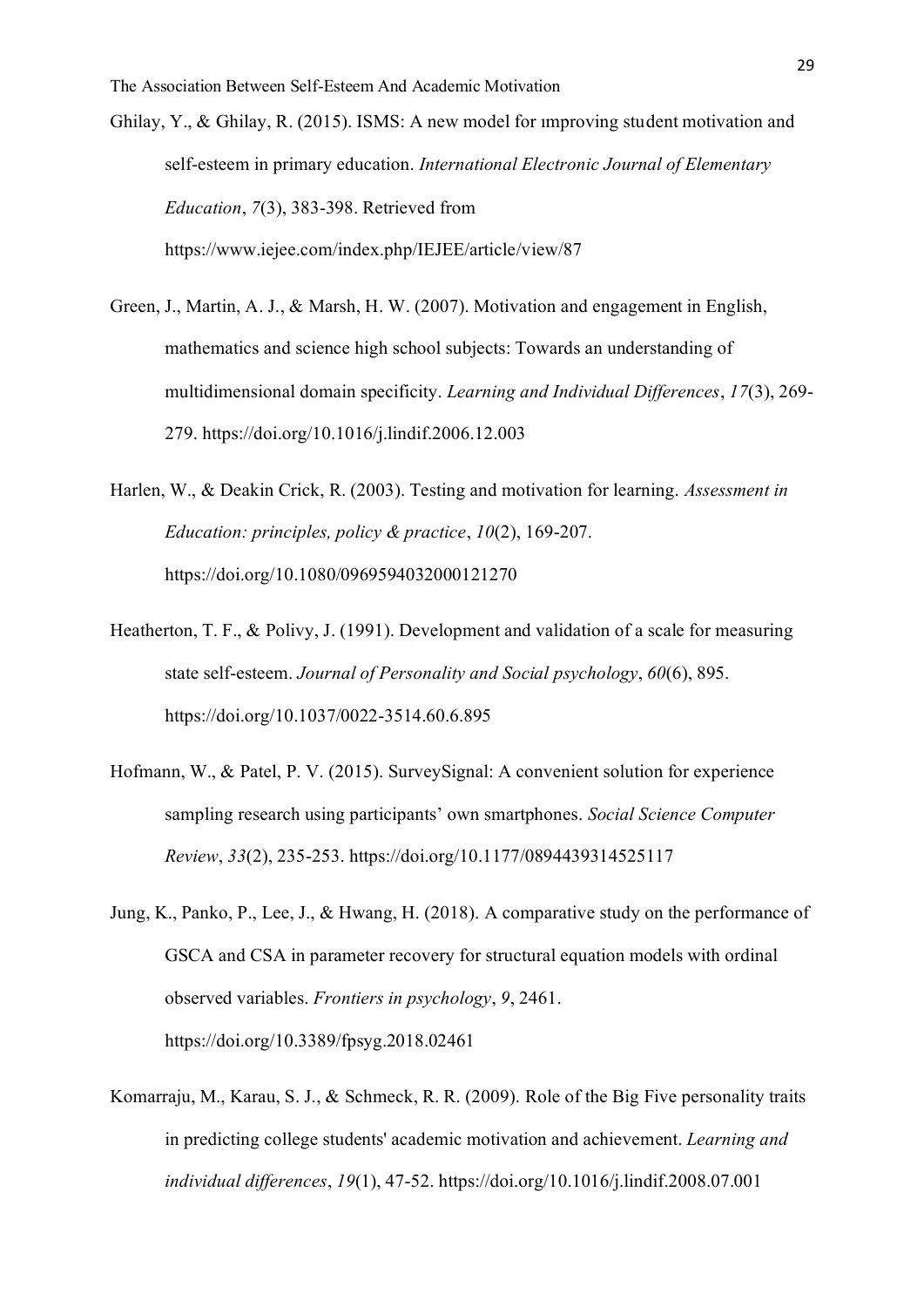Ghilay, Y., & Ghilay, R. (2015). ISMS: A new model for ımproving student motivation and self-esteem in primary education. *International Electronic Journal of Elementary Education*, *7*(3), 383-398. Retrieved from <https://www.iejee.com/index.php/IEJEE/article/view/87>

- Green, J., Martin, A. J., & Marsh, H. W. (2007). Motivation and engagement in English, mathematics and science high school subjects: Towards an understanding of multidimensional domain specificity. *Learning and Individual Differences*, *17*(3), 269- 279.<https://doi.org/10.1016/j.lindif.2006.12.003>
- Harlen, W., & Deakin Crick, R. (2003). Testing and motivation for learning. *Assessment in Education: principles, policy & practice*, *10*(2), 169-207. <https://doi.org/10.1080/0969594032000121270>
- Heatherton, T. F., & Polivy, J. (1991). Development and validation of a scale for measuring state self-esteem. *Journal of Personality and Social psychology*, *60*(6), 895. [https://doi.org/10.1037/0022-3514.60.6.895](https://psycnet.apa.org/doi/10.1037/0022-3514.60.6.895)
- Hofmann, W., & Patel, P. V. (2015). SurveySignal: A convenient solution for experience sampling research using participants' own smartphones. *Social Science Computer Review*, *33*(2), 235-253. [https://doi.org/10.1177/0894439314525117](https://doi.org/10.1177%2F0894439314525117)
- Jung, K., Panko, P., Lee, J., & Hwang, H. (2018). A comparative study on the performance of GSCA and CSA in parameter recovery for structural equation models with ordinal observed variables. *Frontiers in psychology*, *9*, 2461. <https://doi.org/10.3389/fpsyg.2018.02461>
- Komarraju, M., Karau, S. J., & Schmeck, R. R. (2009). Role of the Big Five personality traits in predicting college students' academic motivation and achievement. *Learning and individual differences*, *19*(1), 47-52.<https://doi.org/10.1016/j.lindif.2008.07.001>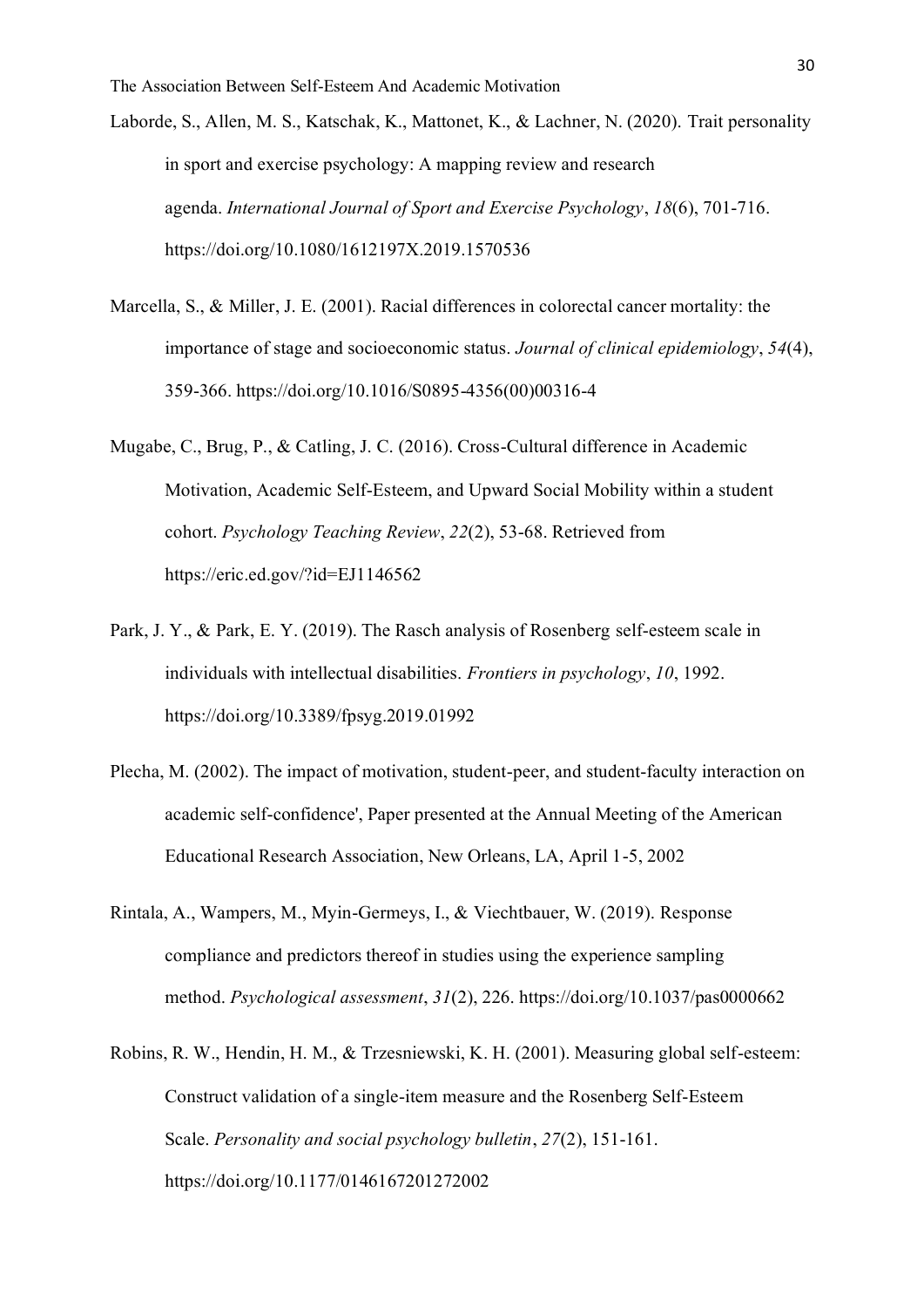Laborde, S., Allen, M. S., Katschak, K., Mattonet, K., & Lachner, N. (2020). Trait personality in sport and exercise psychology: A mapping review and research agenda. *International Journal of Sport and Exercise Psychology*, *18*(6), 701-716. <https://doi.org/10.1080/1612197X.2019.1570536>

- Marcella, S., & Miller, J. E. (2001). Racial differences in colorectal cancer mortality: the importance of stage and socioeconomic status. *Journal of clinical epidemiology*, *54*(4), 359-366. [https://doi.org/10.1016/S0895-4356\(00\)00316-4](https://doi.org/10.1016/S0895-4356(00)00316-4)
- Mugabe, C., Brug, P., & Catling, J. C. (2016). Cross-Cultural difference in Academic Motivation, Academic Self-Esteem, and Upward Social Mobility within a student cohort. *Psychology Teaching Review*, *22*(2), 53-68. Retrieved from https://eric.ed.gov/?id=EJ1146562
- Park, J. Y., & Park, E. Y. (2019). The Rasch analysis of Rosenberg self-esteem scale in individuals with intellectual disabilities. *Frontiers in psychology*, *10*, 1992. <https://doi.org/10.3389/fpsyg.2019.01992>
- Plecha, M. (2002). The impact of motivation, student-peer, and student-faculty interaction on academic self-confidence', Paper presented at the Annual Meeting of the American Educational Research Association, New Orleans, LA, April 1-5, 2002
- Rintala, A., Wampers, M., Myin-Germeys, I., & Viechtbauer, W. (2019). Response compliance and predictors thereof in studies using the experience sampling method. *Psychological assessment*, *31*(2), 226. [https://doi.org/10.1037/pas0000662](https://psycnet.apa.org/doi/10.1037/pas0000662)
- Robins, R. W., Hendin, H. M., & Trzesniewski, K. H. (2001). Measuring global self-esteem: Construct validation of a single-item measure and the Rosenberg Self-Esteem Scale. *Personality and social psychology bulletin*, *27*(2), 151-161. [https://doi.org/10.1177/0146167201272002](https://doi.org/10.1177%2F0146167201272002)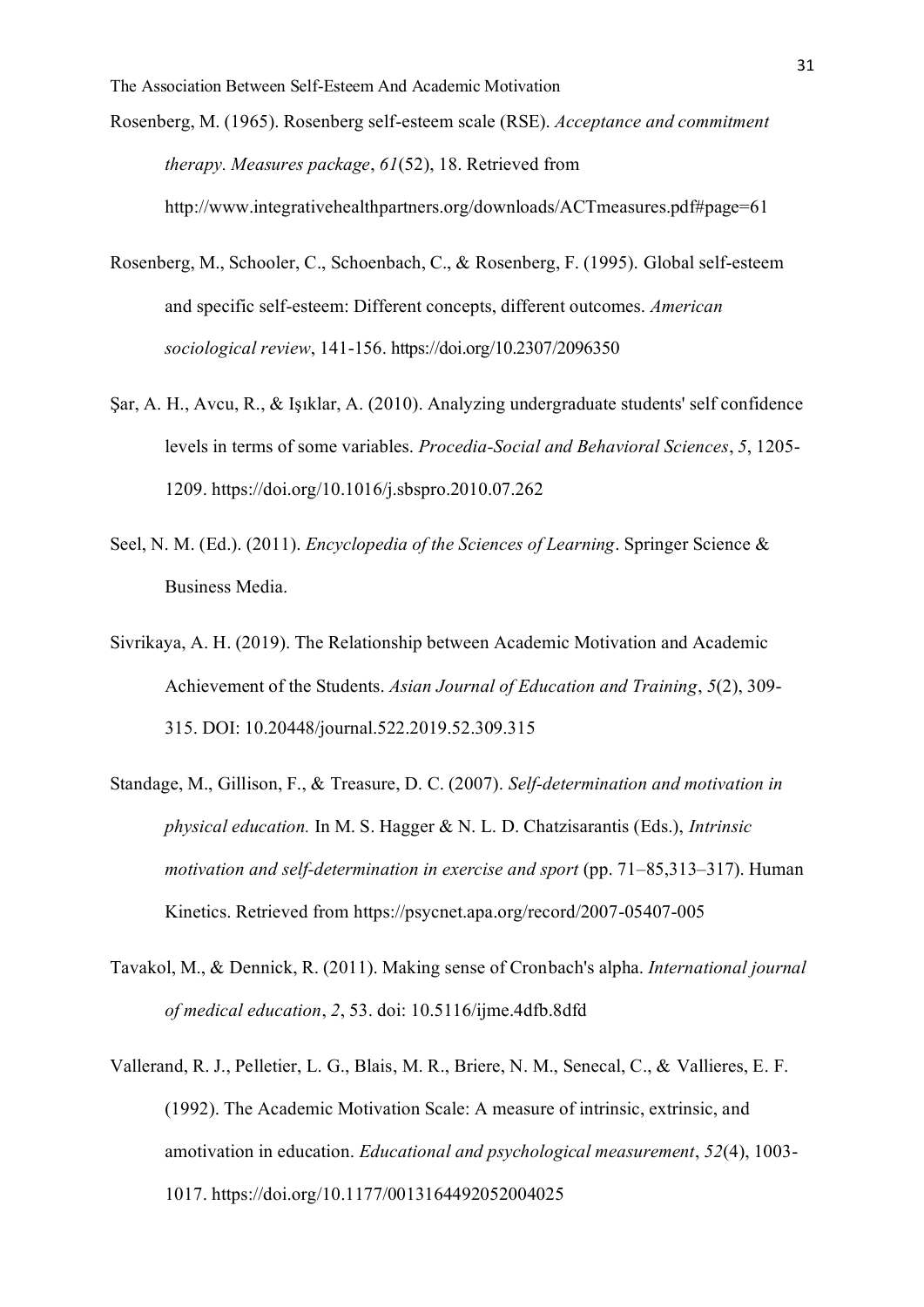- Rosenberg, M. (1965). Rosenberg self-esteem scale (RSE). *Acceptance and commitment therapy. Measures package*, *61*(52), 18. Retrieved from http://www.integrativehealthpartners.org/downloads/ACTmeasures.pdf#page=61
- Rosenberg, M., Schooler, C., Schoenbach, C., & Rosenberg, F. (1995). Global self-esteem and specific self-esteem: Different concepts, different outcomes. *American sociological review*, 141-156.<https://doi.org/10.2307/2096350>
- Şar, A. H., Avcu, R., & Işıklar, A. (2010). Analyzing undergraduate students' self confidence levels in terms of some variables. *Procedia-Social and Behavioral Sciences*, *5*, 1205- 1209.<https://doi.org/10.1016/j.sbspro.2010.07.262>
- Seel, N. M. (Ed.). (2011). *Encyclopedia of the Sciences of Learning*. Springer Science & Business Media.
- Sivrikaya, A. H. (2019). The Relationship between Academic Motivation and Academic Achievement of the Students. *Asian Journal of Education and Training*, *5*(2), 309- 315. DOI: 10.20448/journal.522.2019.52.309.315
- Standage, M., Gillison, F., & Treasure, D. C. (2007). *Self-determination and motivation in physical education.* In M. S. Hagger & N. L. D. Chatzisarantis (Eds.), *Intrinsic motivation and self-determination in exercise and sport* (pp. 71–85,313–317). Human Kinetics. Retrieved from<https://psycnet.apa.org/record/2007-05407-005>
- Tavakol, M., & Dennick, R. (2011). Making sense of Cronbach's alpha. *International journal of medical education*, *2*, 53. doi: [10.5116/ijme.4dfb.8dfd](https://dx.doi.org/10.5116%2Fijme.4dfb.8dfd)
- Vallerand, R. J., Pelletier, L. G., Blais, M. R., Briere, N. M., Senecal, C., & Vallieres, E. F. (1992). The Academic Motivation Scale: A measure of intrinsic, extrinsic, and amotivation in education. *Educational and psychological measurement*, *52*(4), 1003- 1017. [https://doi.org/10.1177/0013164492052004025](https://doi.org/10.1177%2F0013164492052004025)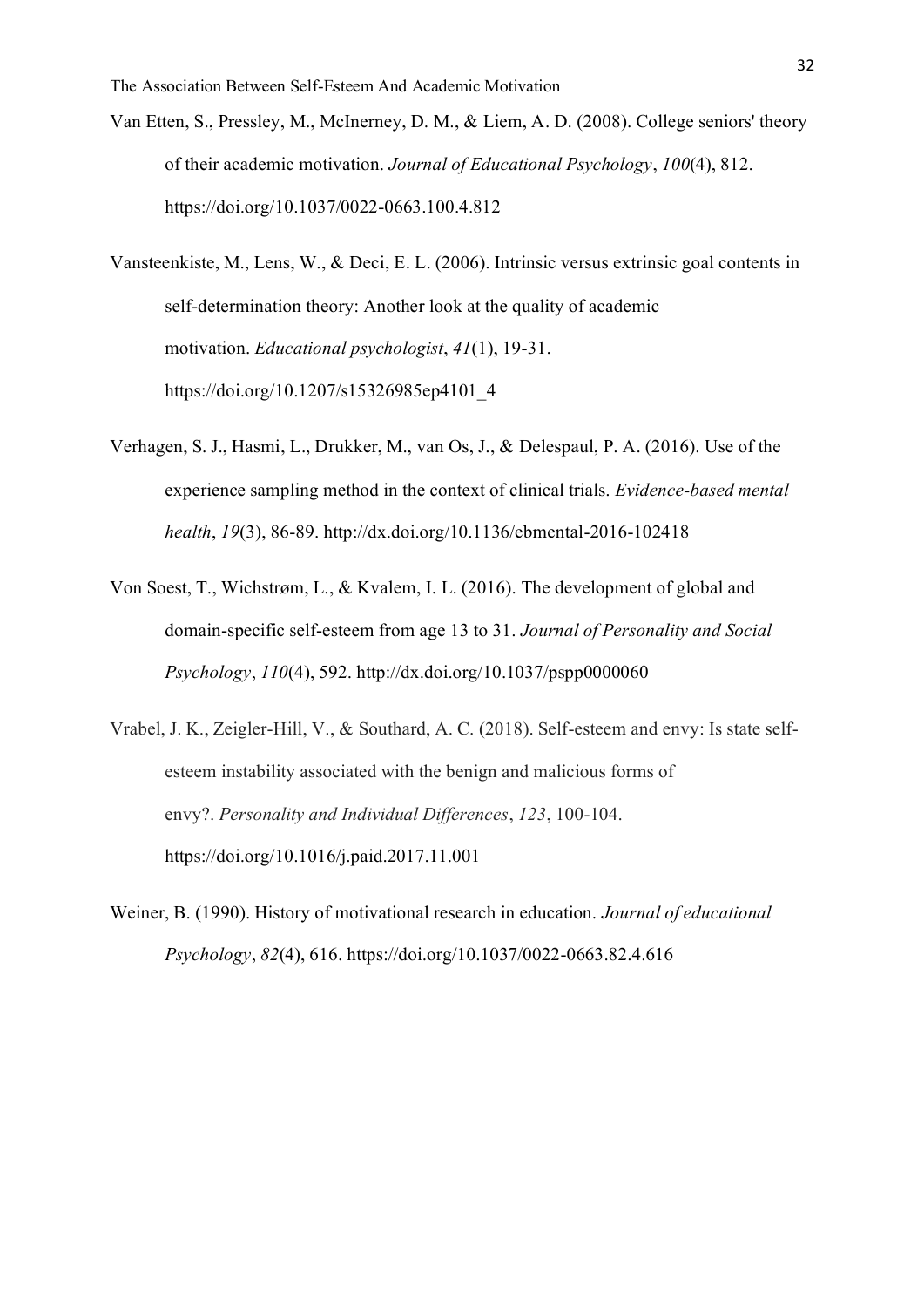- Van Etten, S., Pressley, M., McInerney, D. M., & Liem, A. D. (2008). College seniors' theory of their academic motivation. *Journal of Educational Psychology*, *100*(4), 812. [https://doi.org/10.1037/0022-0663.100.4.812](https://psycnet.apa.org/doi/10.1037/0022-0663.100.4.812)
- Vansteenkiste, M., Lens, W., & Deci, E. L. (2006). Intrinsic versus extrinsic goal contents in self-determination theory: Another look at the quality of academic motivation. *Educational psychologist*, *41*(1), 19-31. [https://doi.org/10.1207/s15326985ep4101\\_4](https://doi.org/10.1207/s15326985ep4101_4)
- Verhagen, S. J., Hasmi, L., Drukker, M., van Os, J., & Delespaul, P. A. (2016). Use of the experience sampling method in the context of clinical trials. *Evidence-based mental health*, *19*(3), 86-89.<http://dx.doi.org/10.1136/ebmental-2016-102418>
- Von Soest, T., Wichstrøm, L., & Kvalem, I. L. (2016). The development of global and domain-specific self-esteem from age 13 to 31. *Journal of Personality and Social Psychology*, *110*(4), 592.<http://dx.doi.org/10.1037/pspp0000060>
- Vrabel, J. K., Zeigler-Hill, V., & Southard, A. C. (2018). Self-esteem and envy: Is state selfesteem instability associated with the benign and malicious forms of envy?. *Personality and Individual Differences*, *123*, 100-104. <https://doi.org/10.1016/j.paid.2017.11.001>
- Weiner, B. (1990). History of motivational research in education. *Journal of educational Psychology*, *82*(4), 616. [https://doi.org/10.1037/0022-0663.82.4.616](https://psycnet.apa.org/doi/10.1037/0022-0663.82.4.616)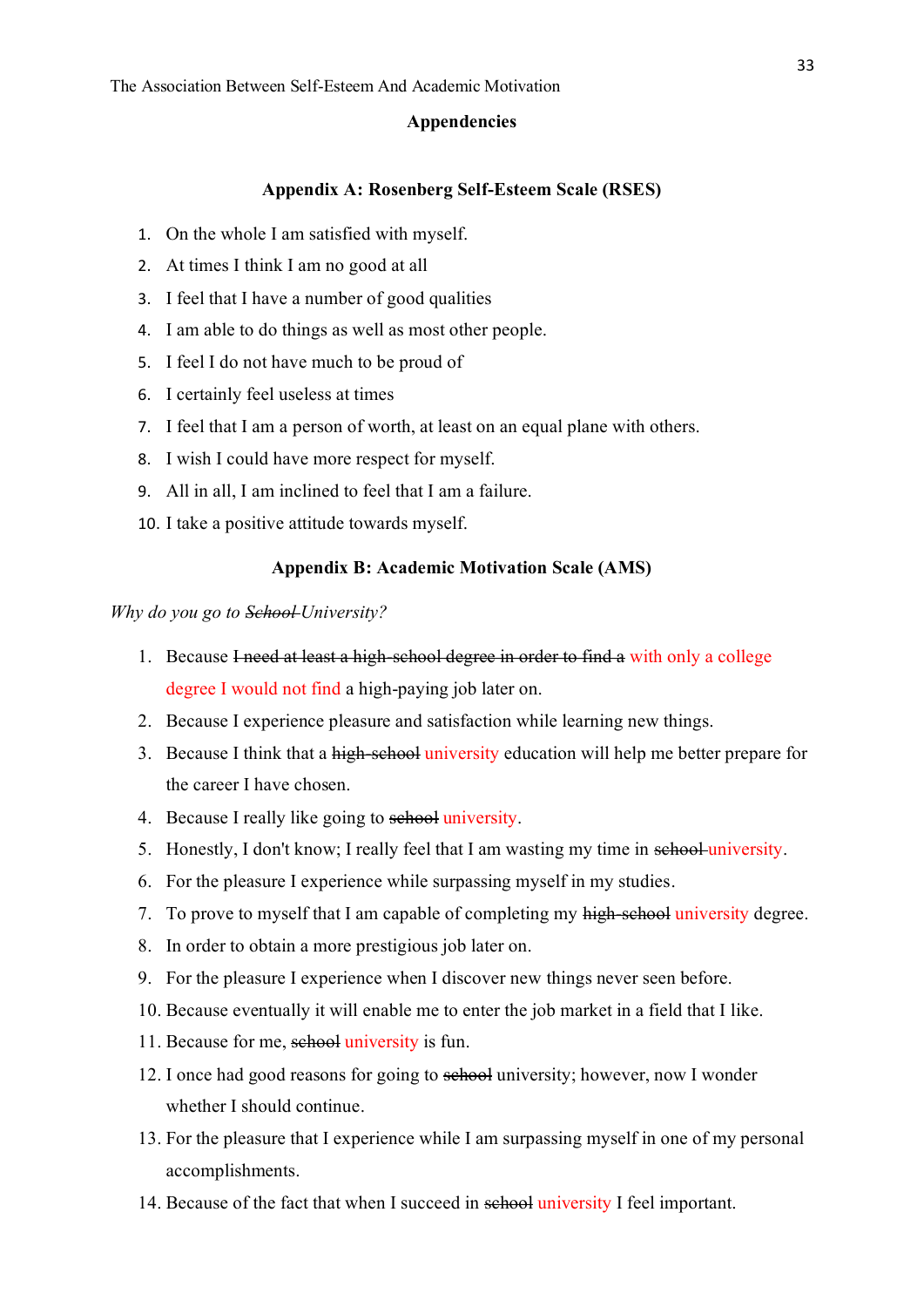#### **Appendencies**

# **Appendix A: Rosenberg Self-Esteem Scale (RSES)**

- <span id="page-33-0"></span>1. On the whole I am satisfied with myself.
- 2. At times I think I am no good at all
- 3. I feel that I have a number of good qualities
- 4. I am able to do things as well as most other people.
- 5. I feel I do not have much to be proud of
- 6. I certainly feel useless at times
- 7. I feel that I am a person of worth, at least on an equal plane with others.
- 8. I wish I could have more respect for myself.
- 9. All in all, I am inclined to feel that I am a failure.
- 10. I take a positive attitude towards myself.

# **Appendix B: Academic Motivation Scale (AMS)**

*Why do you go to School University?*

- 1. Because I need at least a high-school degree in order to find a with only a college degree I would not find a high-paying job later on.
- 2. Because I experience pleasure and satisfaction while learning new things.
- 3. Because I think that a high-school university education will help me better prepare for the career I have chosen.
- 4. Because I really like going to school university.
- 5. Honestly, I don't know; I really feel that I am wasting my time in school university.
- 6. For the pleasure I experience while surpassing myself in my studies.
- 7. To prove to myself that I am capable of completing my high-school university degree.
- 8. In order to obtain a more prestigious job later on.
- 9. For the pleasure I experience when I discover new things never seen before.
- 10. Because eventually it will enable me to enter the job market in a field that I like.
- 11. Because for me, school university is fun.
- 12. I once had good reasons for going to sehool university; however, now I wonder whether I should continue.
- 13. For the pleasure that I experience while I am surpassing myself in one of my personal accomplishments.
- 14. Because of the fact that when I succeed in school university I feel important.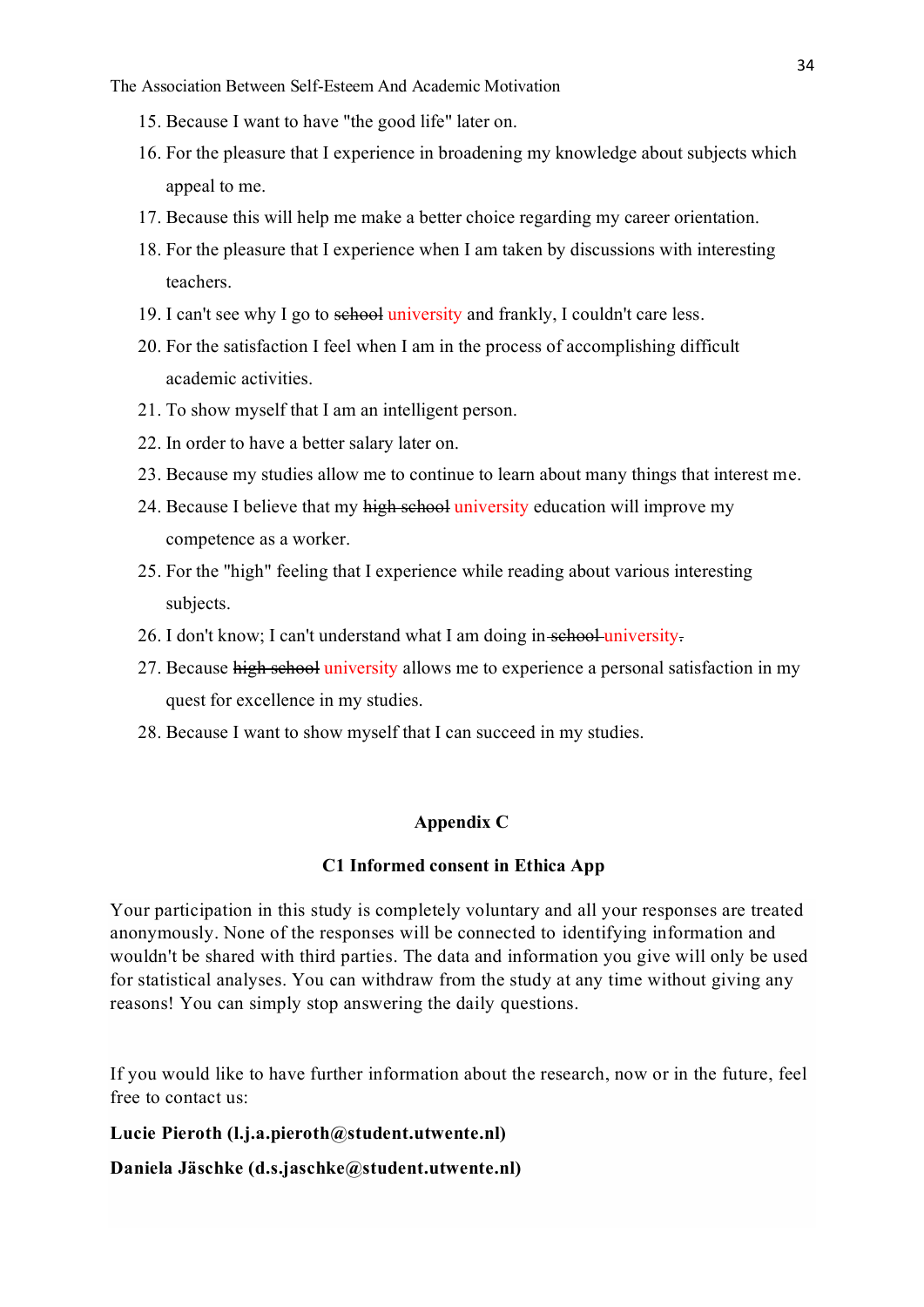The Association Between Self-Esteem And Academic Motivation

- 15. Because I want to have "the good life" later on.
- 16. For the pleasure that I experience in broadening my knowledge about subjects which appeal to me.
- 17. Because this will help me make a better choice regarding my career orientation.
- 18. For the pleasure that I experience when I am taken by discussions with interesting teachers.
- 19. I can't see why I go to school university and frankly, I couldn't care less.
- 20. For the satisfaction I feel when I am in the process of accomplishing difficult academic activities.
- 21. To show myself that I am an intelligent person.
- 22. In order to have a better salary later on.
- 23. Because my studies allow me to continue to learn about many things that interest me.
- 24. Because I believe that my high school university education will improve my competence as a worker.
- 25. For the "high" feeling that I experience while reading about various interesting subjects.
- 26. I don't know; I can't understand what I am doing in school university.
- 27. Because high school university allows me to experience a personal satisfaction in my quest for excellence in my studies.
- 28. Because I want to show myself that I can succeed in my studies.

#### **Appendix C**

## **C1 Informed consent in Ethica App**

Your participation in this study is completely voluntary and all your responses are treated anonymously. None of the responses will be connected to identifying information and wouldn't be shared with third parties. The data and information you give will only be used for statistical analyses. You can withdraw from the study at any time without giving any reasons! You can simply stop answering the daily questions.

If you would like to have further information about the research, now or in the future, feel free to contact us:

# **Lucie Pieroth (l.j.a.pieroth@student.utwente.nl)**

**Daniela Jäschke (d.s.jaschke@student.utwente.nl)**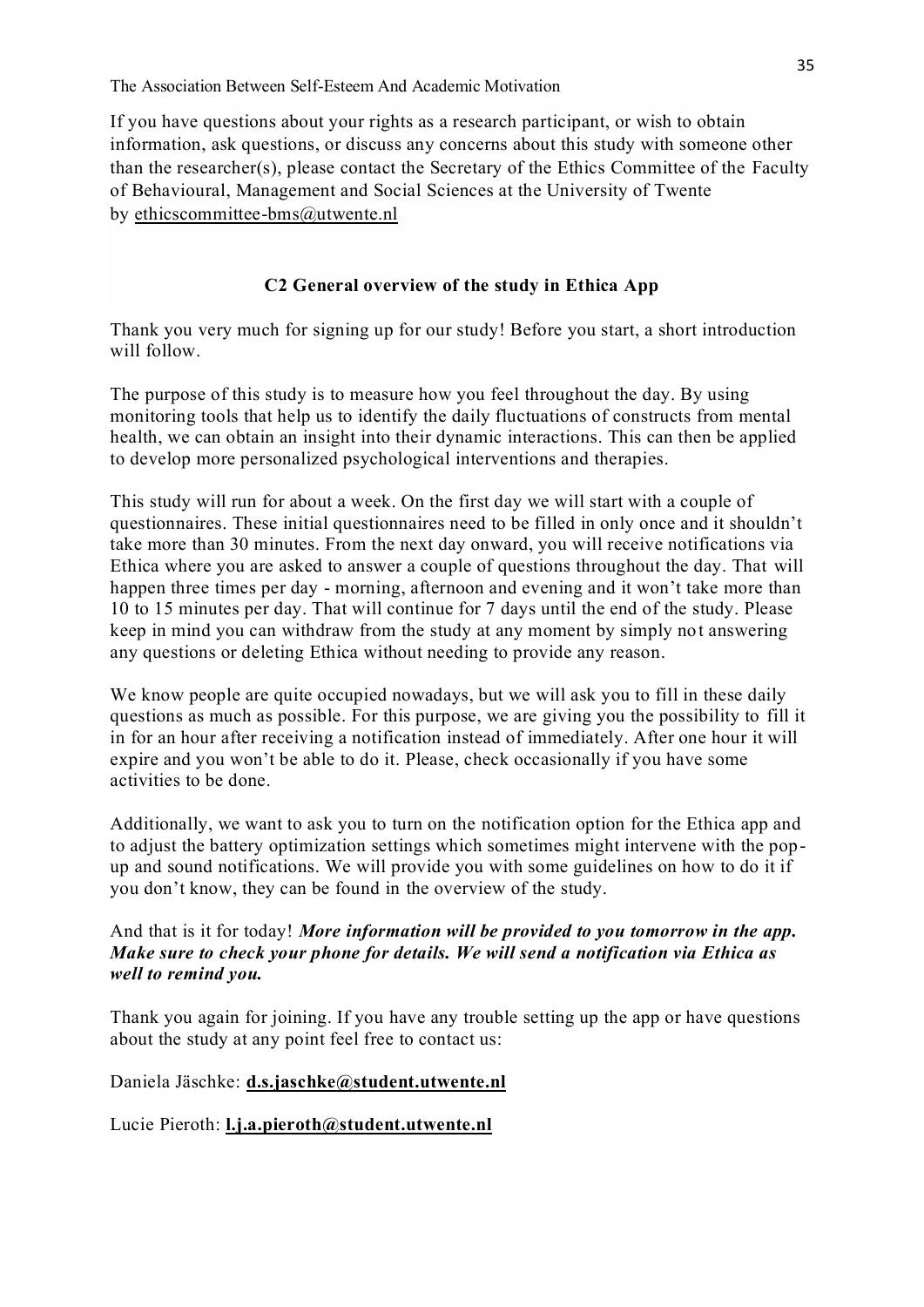The Association Between Self-Esteem And Academic Motivation

If you have questions about your rights as a research participant, or wish to obtain information, ask questions, or discuss any concerns about this study with someone other than the researcher(s), please contact the Secretary of the Ethics Committee of the Faculty of Behavioural, Management and Social Sciences at the University of Twente by [ethicscommittee-bms@utwente.nl](mailto:ethicscommittee-bms@utwente.nl)

# **C2 General overview of the study in Ethica App**

Thank you very much for signing up for our study! Before you start, a short introduction will follow.

The purpose of this study is to measure how you feel throughout the day. By using monitoring tools that help us to identify the daily fluctuations of constructs from mental health, we can obtain an insight into their dynamic interactions. This can then be applied to develop more personalized psychological interventions and therapies.

This study will run for about a week. On the first day we will start with a couple of questionnaires. These initial questionnaires need to be filled in only once and it shouldn't take more than 30 minutes. From the next day onward, you will receive notifications via Ethica where you are asked to answer a couple of questions throughout the day. That will happen three times per day - morning, afternoon and evening and it won't take more than 10 to 15 minutes per day. That will continue for 7 days until the end of the study. Please keep in mind you can withdraw from the study at any moment by simply not answering any questions or deleting Ethica without needing to provide any reason.

We know people are quite occupied nowadays, but we will ask you to fill in these daily questions as much as possible. For this purpose, we are giving you the possibility to fill it in for an hour after receiving a notification instead of immediately. After one hour it will expire and you won't be able to do it. Please, check occasionally if you have some activities to be done.

Additionally, we want to ask you to turn on the notification option for the Ethica app and to adjust the battery optimization settings which sometimes might intervene with the popup and sound notifications. We will provide you with some guidelines on how to do it if you don't know, they can be found in the overview of the study.

# And that is it for today! *More information will be provided to you tomorrow in the app. Make sure to check your phone for details. We will send a notification via Ethica as well to remind you.*

Thank you again for joining. If you have any trouble setting up the app or have questions about the study at any point feel free to contact us:

Daniela Jäschke: **[d.s.jaschke@student.utwente.nl](mailto:d.s.jaschke@student.utwente.nl)**

Lucie Pieroth: **[l.j.a.pieroth@student.utwente.nl](mailto:l.j.a.pieroth@student.utwente.nl)**